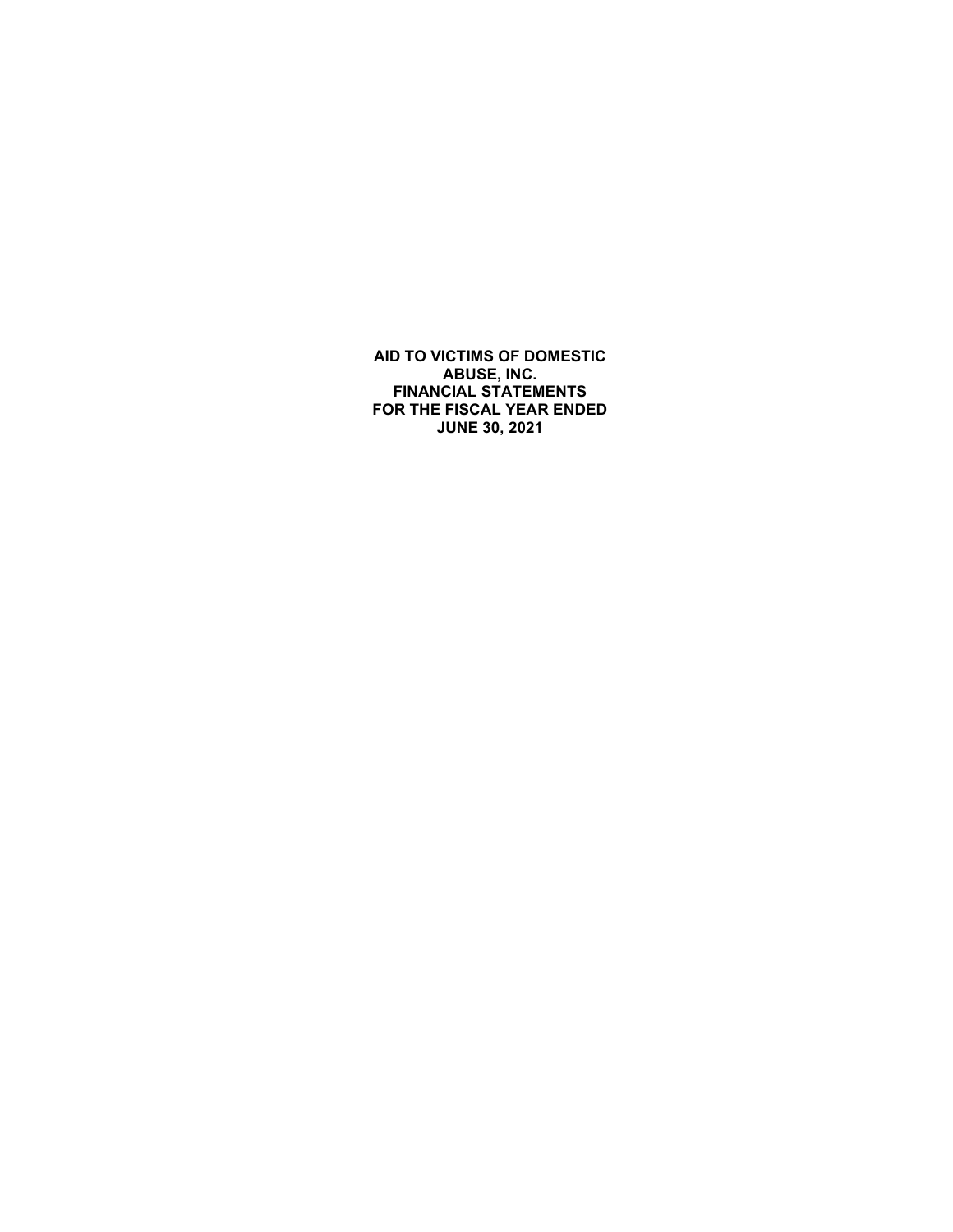**AID TO VICTIMS OF DOMESTIC ABUSE, INC. FINANCIAL STATEMENTS FOR THE FISCAL YEAR ENDED JUNE 30, 2021**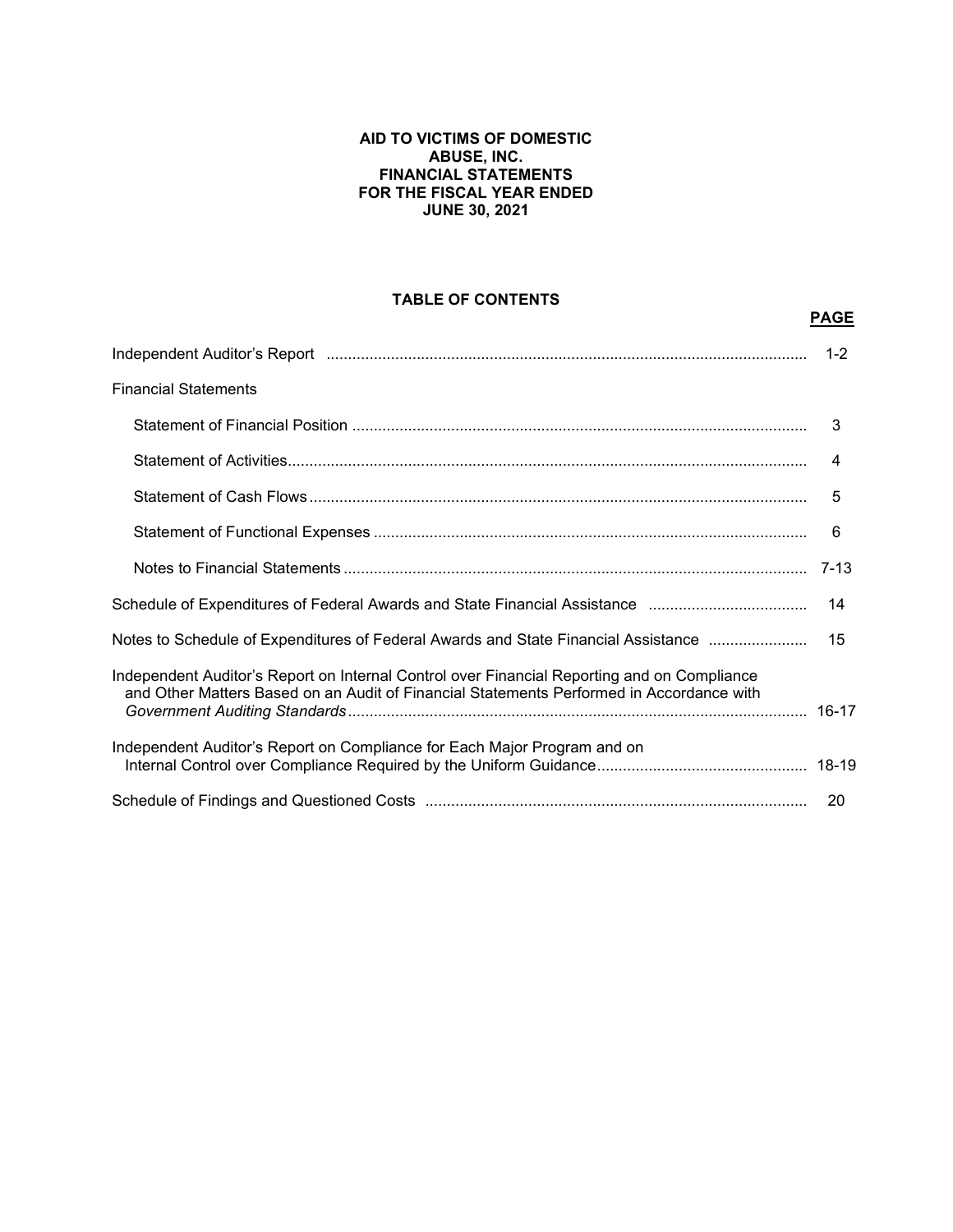### **AID TO VICTIMS OF DOMESTIC ABUSE, INC. FINANCIAL STATEMENTS FOR THE FISCAL YEAR ENDED JUNE 30, 2021**

# **TABLE OF CONTENTS**

 **PAGE**

|                                                                                                                                                                                         | $1 - 2$        |
|-----------------------------------------------------------------------------------------------------------------------------------------------------------------------------------------|----------------|
| <b>Financial Statements</b>                                                                                                                                                             |                |
|                                                                                                                                                                                         | 3              |
|                                                                                                                                                                                         | $\overline{4}$ |
|                                                                                                                                                                                         | 5              |
|                                                                                                                                                                                         | 6              |
|                                                                                                                                                                                         |                |
|                                                                                                                                                                                         | 14             |
| Notes to Schedule of Expenditures of Federal Awards and State Financial Assistance                                                                                                      | 15             |
| Independent Auditor's Report on Internal Control over Financial Reporting and on Compliance<br>and Other Matters Based on an Audit of Financial Statements Performed in Accordance with |                |
| Independent Auditor's Report on Compliance for Each Major Program and on                                                                                                                |                |
|                                                                                                                                                                                         | 20             |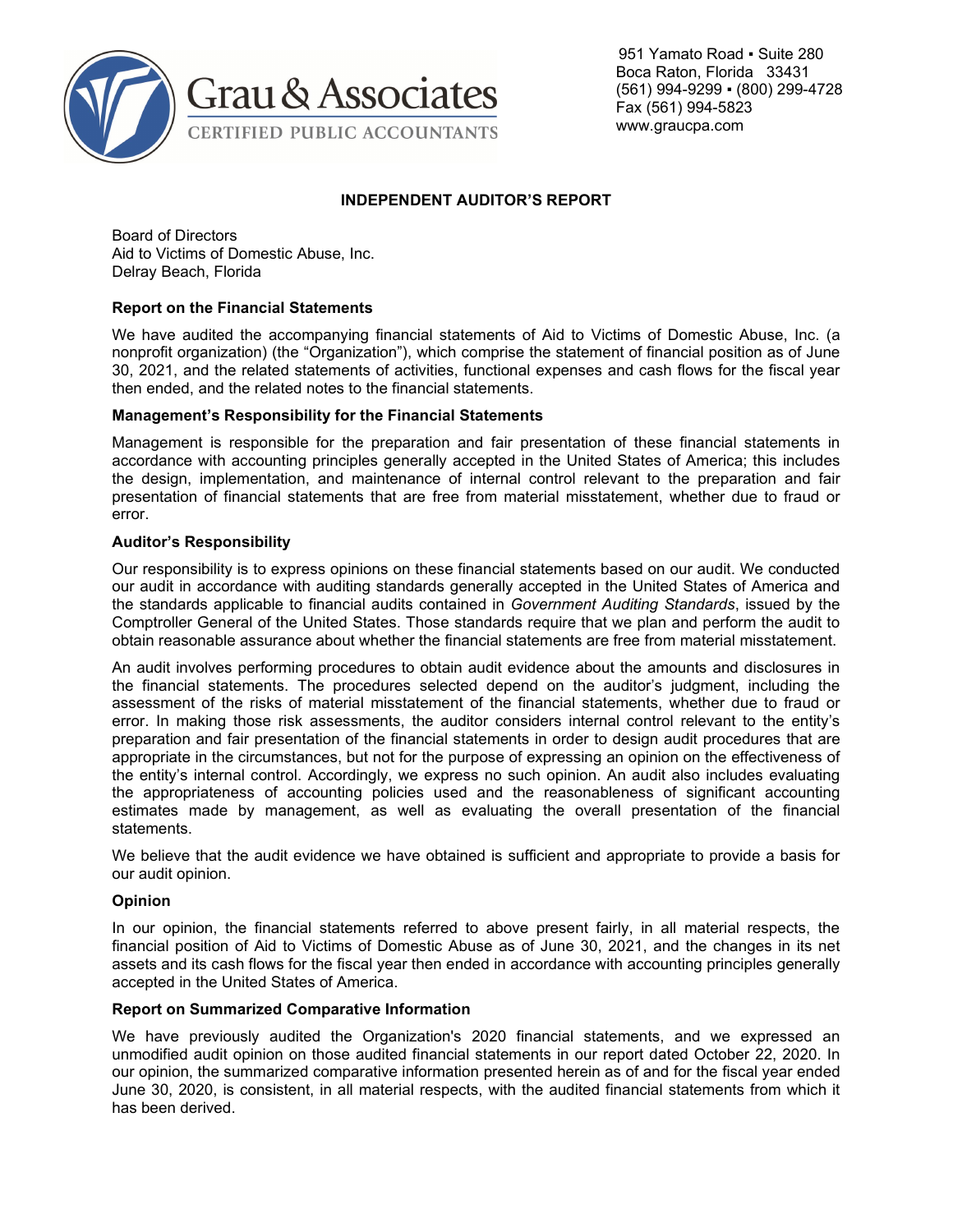

951 Yamato Road · Suite 280 Boca Raton, Florida 33431 (561) 994-9299 ▪ (800) 299-4728 Fax (561) 994-5823 www.graucpa.com

# **INDEPENDENT AUDITOR'S REPORT**

Board of Directors Aid to Victims of Domestic Abuse, Inc. Delray Beach, Florida

### **Report on the Financial Statements**

We have audited the accompanying financial statements of Aid to Victims of Domestic Abuse, Inc. (a nonprofit organization) (the "Organization"), which comprise the statement of financial position as of June 30, 2021, and the related statements of activities, functional expenses and cash flows for the fiscal year then ended, and the related notes to the financial statements.

#### **Management's Responsibility for the Financial Statements**

Management is responsible for the preparation and fair presentation of these financial statements in accordance with accounting principles generally accepted in the United States of America; this includes the design, implementation, and maintenance of internal control relevant to the preparation and fair presentation of financial statements that are free from material misstatement, whether due to fraud or error.

#### **Auditor's Responsibility**

Our responsibility is to express opinions on these financial statements based on our audit. We conducted our audit in accordance with auditing standards generally accepted in the United States of America and the standards applicable to financial audits contained in *Government Auditing Standards*, issued by the Comptroller General of the United States. Those standards require that we plan and perform the audit to obtain reasonable assurance about whether the financial statements are free from material misstatement.

An audit involves performing procedures to obtain audit evidence about the amounts and disclosures in the financial statements. The procedures selected depend on the auditor's judgment, including the assessment of the risks of material misstatement of the financial statements, whether due to fraud or error. In making those risk assessments, the auditor considers internal control relevant to the entity's preparation and fair presentation of the financial statements in order to design audit procedures that are appropriate in the circumstances, but not for the purpose of expressing an opinion on the effectiveness of the entity's internal control. Accordingly, we express no such opinion. An audit also includes evaluating the appropriateness of accounting policies used and the reasonableness of significant accounting estimates made by management, as well as evaluating the overall presentation of the financial statements.

We believe that the audit evidence we have obtained is sufficient and appropriate to provide a basis for our audit opinion.

#### **Opinion**

In our opinion, the financial statements referred to above present fairly, in all material respects, the financial position of Aid to Victims of Domestic Abuse as of June 30, 2021, and the changes in its net assets and its cash flows for the fiscal year then ended in accordance with accounting principles generally accepted in the United States of America.

### **Report on Summarized Comparative Information**

We have previously audited the Organization's 2020 financial statements, and we expressed an unmodified audit opinion on those audited financial statements in our report dated October 22, 2020. In our opinion, the summarized comparative information presented herein as of and for the fiscal year ended June 30, 2020, is consistent, in all material respects, with the audited financial statements from which it has been derived.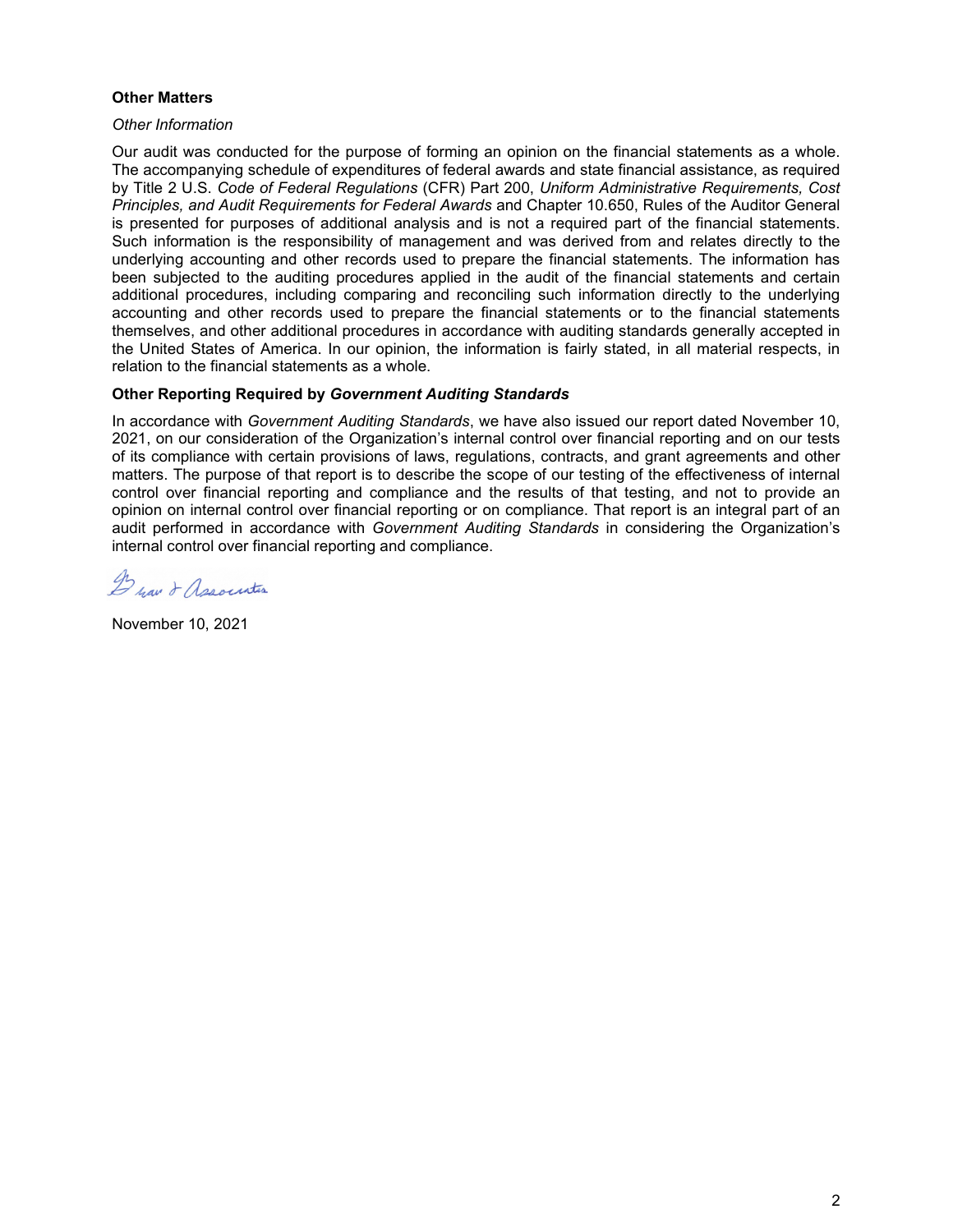### **Other Matters**

#### *Other Information*

Our audit was conducted for the purpose of forming an opinion on the financial statements as a whole. The accompanying schedule of expenditures of federal awards and state financial assistance, as required by Title 2 U.S. *Code of Federal Regulations* (CFR) Part 200, *Uniform Administrative Requirements, Cost Principles, and Audit Requirements for Federal Awards* and Chapter 10.650, Rules of the Auditor General is presented for purposes of additional analysis and is not a required part of the financial statements. Such information is the responsibility of management and was derived from and relates directly to the underlying accounting and other records used to prepare the financial statements. The information has been subjected to the auditing procedures applied in the audit of the financial statements and certain additional procedures, including comparing and reconciling such information directly to the underlying accounting and other records used to prepare the financial statements or to the financial statements themselves, and other additional procedures in accordance with auditing standards generally accepted in the United States of America. In our opinion, the information is fairly stated, in all material respects, in relation to the financial statements as a whole.

## **Other Reporting Required by** *Government Auditing Standards*

In accordance with *Government Auditing Standards*, we have also issued our report dated November 10, 2021, on our consideration of the Organization's internal control over financial reporting and on our tests of its compliance with certain provisions of laws, regulations, contracts, and grant agreements and other matters. The purpose of that report is to describe the scope of our testing of the effectiveness of internal control over financial reporting and compliance and the results of that testing, and not to provide an opinion on internal control over financial reporting or on compliance. That report is an integral part of an audit performed in accordance with *Government Auditing Standards* in considering the Organization's internal control over financial reporting and compliance.

Dear & Association

November 10, 2021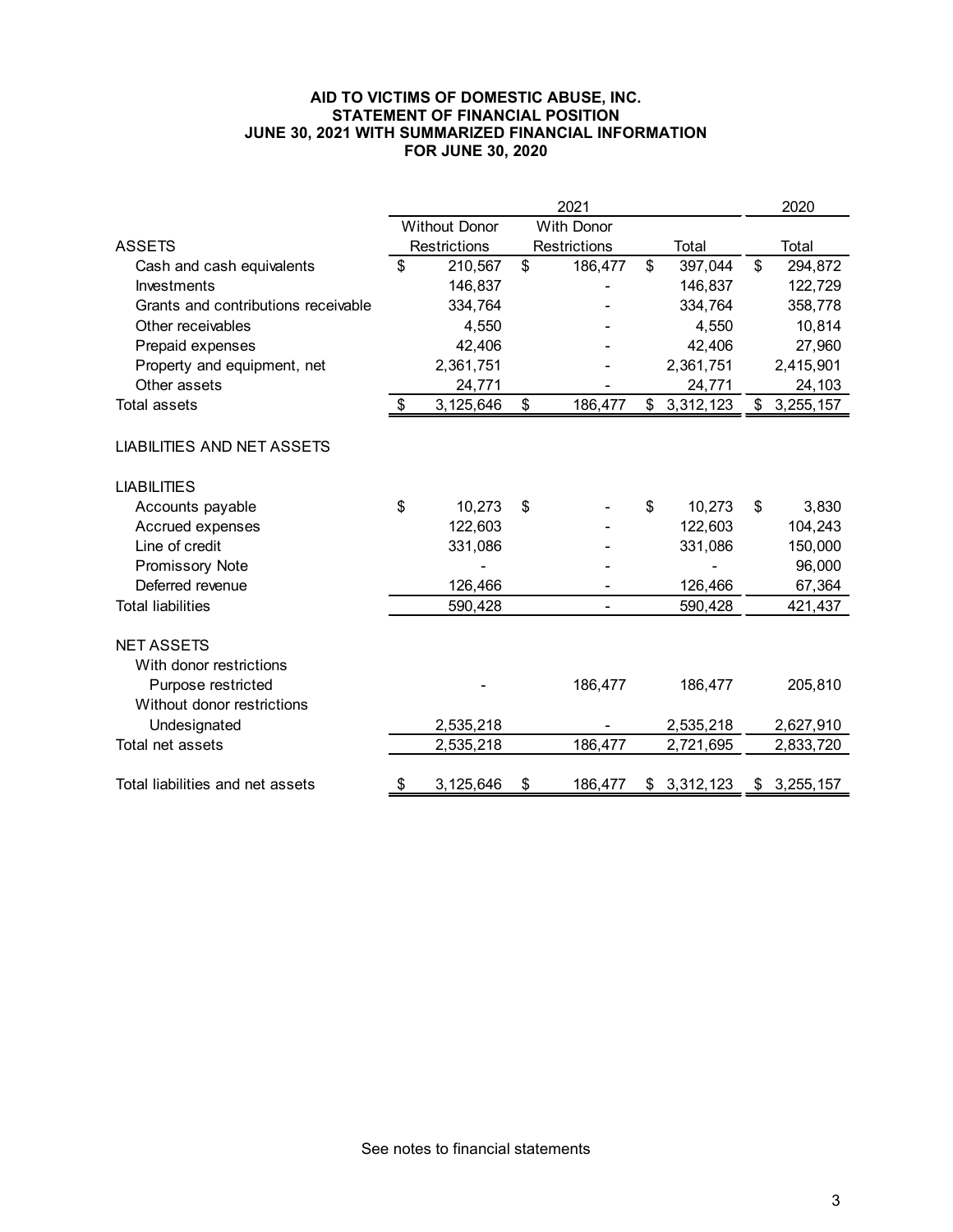## **AID TO VICTIMS OF DOMESTIC ABUSE, INC. STATEMENT OF FINANCIAL POSITION JUNE 30, 2021 WITH SUMMARIZED FINANCIAL INFORMATION FOR JUNE 30, 2020**

|                                                  | 2021                                      |                     |    |                |    |             | 2020            |
|--------------------------------------------------|-------------------------------------------|---------------------|----|----------------|----|-------------|-----------------|
|                                                  | <b>Without Donor</b><br><b>With Donor</b> |                     |    |                |    |             |                 |
| <b>ASSETS</b>                                    |                                           | <b>Restrictions</b> |    | Restrictions   |    | Total       | Total           |
| Cash and cash equivalents                        | \$                                        | 210,567             | \$ | 186,477        | \$ | 397,044     | \$<br>294,872   |
| Investments                                      |                                           | 146,837             |    |                |    | 146,837     | 122,729         |
| Grants and contributions receivable              |                                           | 334,764             |    |                |    | 334,764     | 358,778         |
| Other receivables                                |                                           | 4,550               |    |                |    | 4,550       | 10,814          |
| Prepaid expenses                                 |                                           | 42,406              |    |                |    | 42,406      | 27,960          |
| Property and equipment, net                      |                                           | 2,361,751           |    |                |    | 2,361,751   | 2,415,901       |
| Other assets                                     |                                           | 24,771              |    |                |    | 24,771      | 24,103          |
| <b>Total assets</b>                              | \$                                        | 3,125,646           | \$ | 186,477        | \$ | 3,312,123   | \$<br>3,255,157 |
| <b>LIABILITIES AND NET ASSETS</b>                |                                           |                     |    |                |    |             |                 |
| <b>LIABILITIES</b>                               |                                           |                     |    |                |    |             |                 |
| Accounts payable                                 | \$                                        | 10,273              | \$ |                | \$ | 10,273      | \$<br>3,830     |
| Accrued expenses                                 |                                           | 122,603             |    |                |    | 122,603     | 104,243         |
| Line of credit                                   |                                           | 331,086             |    |                |    | 331,086     | 150,000         |
| <b>Promissory Note</b>                           |                                           |                     |    |                |    |             | 96,000          |
| Deferred revenue                                 |                                           | 126,466             |    |                |    | 126,466     | 67,364          |
| <b>Total liabilities</b>                         |                                           | 590,428             |    | $\blacksquare$ |    | 590,428     | 421,437         |
| <b>NET ASSETS</b><br>With donor restrictions     |                                           |                     |    |                |    |             |                 |
| Purpose restricted<br>Without donor restrictions |                                           |                     |    | 186,477        |    | 186,477     | 205,810         |
| Undesignated                                     |                                           | 2,535,218           |    |                |    | 2,535,218   | 2,627,910       |
| Total net assets                                 |                                           | 2,535,218           |    | 186,477        |    | 2,721,695   | 2,833,720       |
| Total liabilities and net assets                 | \$                                        | 3,125,646           | \$ | 186,477        |    | \$3,312,123 | \$3,255,157     |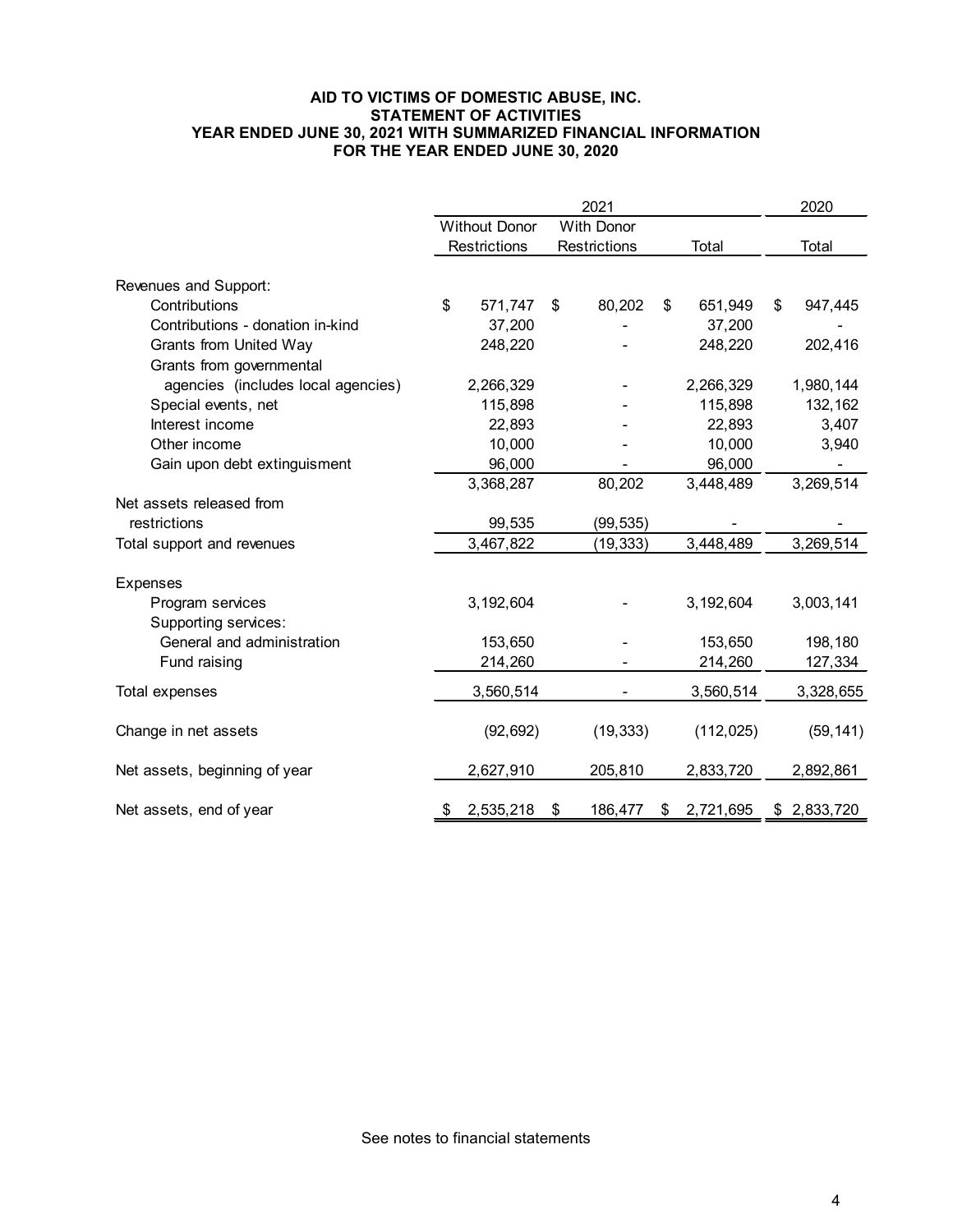### **AID TO VICTIMS OF DOMESTIC ABUSE, INC. STATEMENT OF ACTIVITIES YEAR ENDED JUNE 30, 2021 WITH SUMMARIZED FINANCIAL INFORMATION FOR THE YEAR ENDED JUNE 30, 2020**

|                                    | 2021                                      |                     |    |              |    |            |    | 2020        |
|------------------------------------|-------------------------------------------|---------------------|----|--------------|----|------------|----|-------------|
|                                    | <b>With Donor</b><br><b>Without Donor</b> |                     |    |              |    |            |    |             |
|                                    |                                           | <b>Restrictions</b> |    | Restrictions |    | Total      |    | Total       |
| Revenues and Support:              |                                           |                     |    |              |    |            |    |             |
| Contributions                      | \$                                        | 571,747             | \$ | 80,202       | \$ | 651,949    | \$ | 947,445     |
| Contributions - donation in-kind   |                                           | 37,200              |    |              |    | 37,200     |    |             |
| <b>Grants from United Way</b>      |                                           | 248,220             |    |              |    | 248,220    |    | 202,416     |
| Grants from governmental           |                                           |                     |    |              |    |            |    |             |
| agencies (includes local agencies) |                                           | 2,266,329           |    |              |    | 2,266,329  |    | 1,980,144   |
| Special events, net                |                                           | 115,898             |    |              |    | 115,898    |    | 132,162     |
| Interest income                    |                                           | 22,893              |    |              |    | 22,893     |    | 3,407       |
| Other income                       |                                           | 10,000              |    |              |    | 10,000     |    | 3,940       |
| Gain upon debt extinguisment       |                                           | 96,000              |    |              |    | 96,000     |    |             |
|                                    |                                           | 3,368,287           |    | 80,202       |    | 3,448,489  |    | 3,269,514   |
| Net assets released from           |                                           |                     |    |              |    |            |    |             |
| restrictions                       |                                           | 99,535              |    | (99, 535)    |    |            |    |             |
|                                    |                                           | 3,467,822           |    |              |    | 3,448,489  |    | 3,269,514   |
| Total support and revenues         |                                           |                     |    | (19, 333)    |    |            |    |             |
| Expenses                           |                                           |                     |    |              |    |            |    |             |
| Program services                   |                                           | 3,192,604           |    |              |    | 3,192,604  |    | 3,003,141   |
| Supporting services:               |                                           |                     |    |              |    |            |    |             |
| General and administration         |                                           | 153,650             |    |              |    | 153,650    |    | 198,180     |
| Fund raising                       |                                           | 214,260             |    |              |    | 214,260    |    | 127,334     |
| Total expenses                     |                                           | 3,560,514           |    |              |    | 3,560,514  |    | 3,328,655   |
| Change in net assets               |                                           | (92, 692)           |    | (19, 333)    |    | (112, 025) |    | (59, 141)   |
| Net assets, beginning of year      |                                           | 2,627,910           |    | 205,810      |    | 2,833,720  |    | 2,892,861   |
| Net assets, end of year            | \$                                        | 2,535,218           | \$ | 186,477      | \$ | 2,721,695  |    | \$2,833,720 |

See notes to financial statements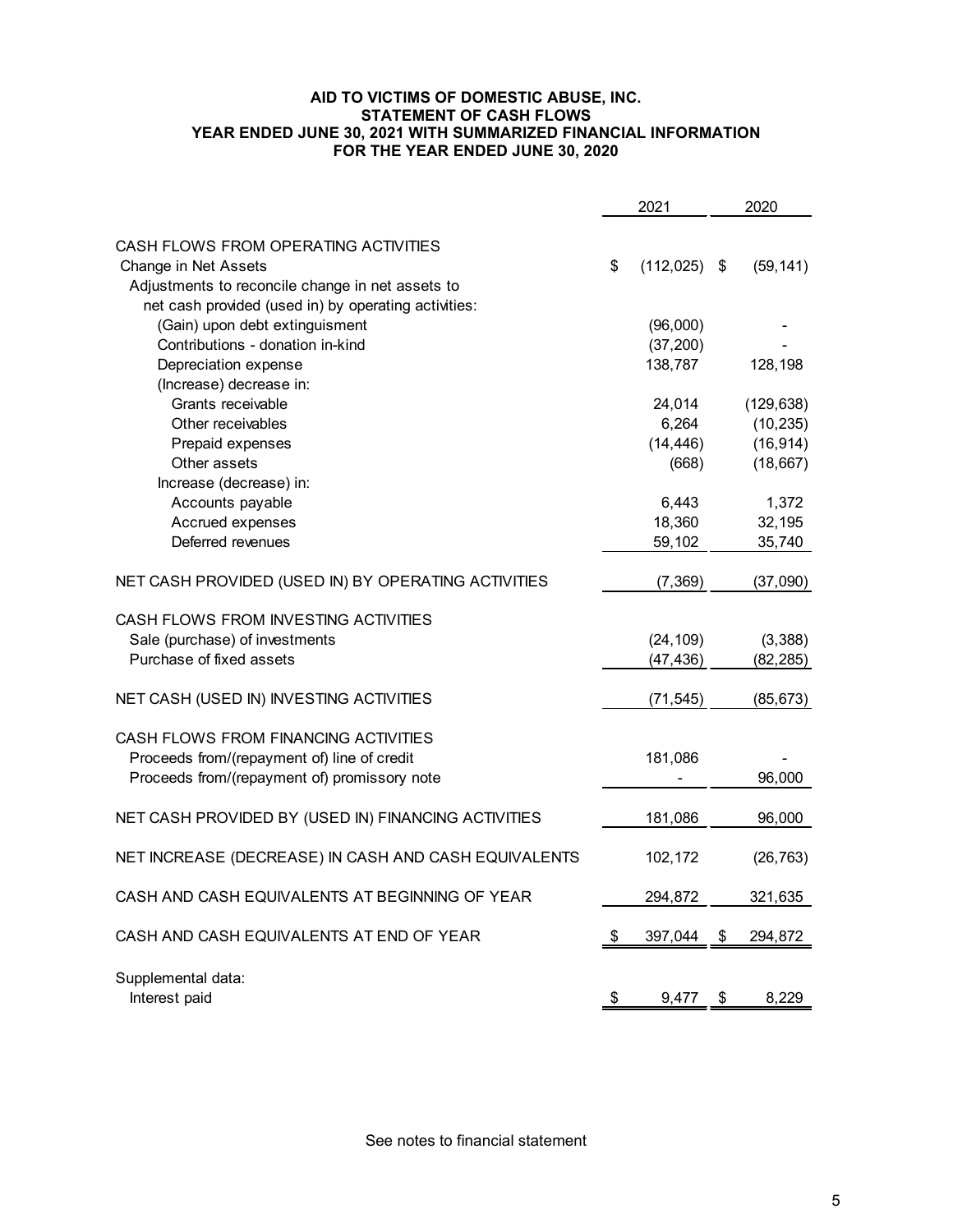### **AID TO VICTIMS OF DOMESTIC ABUSE, INC. STATEMENT OF CASH FLOWS YEAR ENDED JUNE 30, 2021 WITH SUMMARIZED FINANCIAL INFORMATION FOR THE YEAR ENDED JUNE 30, 2020**

|                                                                                             |    | 2021       |    | 2020       |
|---------------------------------------------------------------------------------------------|----|------------|----|------------|
|                                                                                             |    |            |    |            |
| CASH FLOWS FROM OPERATING ACTIVITIES                                                        |    |            |    |            |
| Change in Net Assets                                                                        | \$ | (112, 025) | \$ | (59, 141)  |
| Adjustments to reconcile change in net assets to                                            |    |            |    |            |
| net cash provided (used in) by operating activities:                                        |    |            |    |            |
| (Gain) upon debt extinguisment                                                              |    | (96,000)   |    |            |
| Contributions - donation in-kind                                                            |    | (37, 200)  |    |            |
| Depreciation expense                                                                        |    | 138,787    |    | 128,198    |
| (Increase) decrease in:                                                                     |    |            |    |            |
| Grants receivable                                                                           |    | 24,014     |    | (129, 638) |
| Other receivables                                                                           |    | 6,264      |    | (10, 235)  |
| Prepaid expenses                                                                            |    | (14, 446)  |    | (16, 914)  |
| Other assets                                                                                |    | (668)      |    | (18, 667)  |
| Increase (decrease) in:                                                                     |    |            |    |            |
| Accounts payable                                                                            |    | 6,443      |    | 1,372      |
| Accrued expenses                                                                            |    | 18,360     |    | 32,195     |
| Deferred revenues                                                                           |    | 59,102     |    | 35,740     |
| NET CASH PROVIDED (USED IN) BY OPERATING ACTIVITIES                                         |    | (7, 369)   |    | (37,090)   |
| CASH FLOWS FROM INVESTING ACTIVITIES                                                        |    |            |    |            |
| Sale (purchase) of investments                                                              |    | (24, 109)  |    | (3,388)    |
| Purchase of fixed assets                                                                    |    | (47, 436)  |    | (82, 285)  |
| NET CASH (USED IN) INVESTING ACTIVITIES                                                     |    | (71, 545)  |    | (85, 673)  |
| CASH FLOWS FROM FINANCING ACTIVITIES                                                        |    |            |    |            |
|                                                                                             |    |            |    |            |
| Proceeds from/(repayment of) line of credit<br>Proceeds from/(repayment of) promissory note |    | 181,086    |    | 96,000     |
|                                                                                             |    |            |    |            |
| NET CASH PROVIDED BY (USED IN) FINANCING ACTIVITIES                                         |    | 181,086    |    | 96,000     |
| NET INCREASE (DECREASE) IN CASH AND CASH EQUIVALENTS                                        |    | 102,172    |    | (26, 763)  |
| CASH AND CASH EQUIVALENTS AT BEGINNING OF YEAR                                              |    | 294,872    |    | 321,635    |
| CASH AND CASH EQUIVALENTS AT END OF YEAR                                                    | S  | 397,044    | S  | 294,872    |
|                                                                                             |    |            |    |            |
| Supplemental data:<br>Interest paid                                                         | \$ | 9,477      | \$ | 8,229      |

See notes to financial statement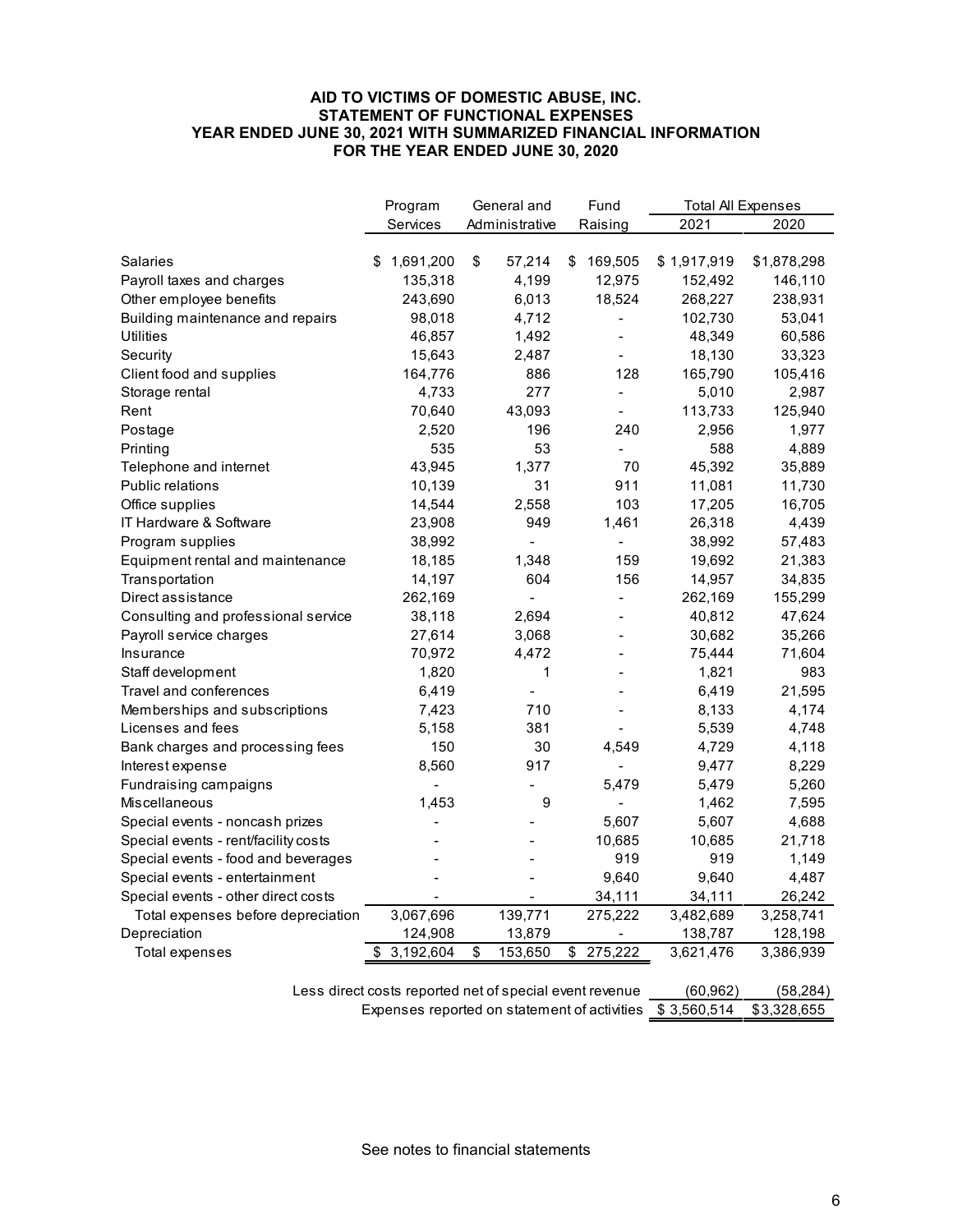### **AID TO VICTIMS OF DOMESTIC ABUSE, INC. STATEMENT OF FUNCTIONAL EXPENSES YEAR ENDED JUNE 30, 2021 WITH SUMMARIZED FINANCIAL INFORMATION FOR THE YEAR ENDED JUNE 30, 2020**

|                                      | Program |                          | General and |                              | Fund |                          | <b>Total All Expenses</b> |             |  |
|--------------------------------------|---------|--------------------------|-------------|------------------------------|------|--------------------------|---------------------------|-------------|--|
|                                      |         | Services                 |             | Administrative               |      | Raising                  | 2021                      | 2020        |  |
|                                      |         |                          |             |                              |      |                          |                           |             |  |
| Salaries                             | \$      | 1,691,200                | \$          | 57,214                       | \$   | 169,505                  | \$1,917,919               | \$1,878,298 |  |
| Payroll taxes and charges            |         | 135,318                  |             | 4,199                        |      | 12,975                   | 152,492                   | 146,110     |  |
| Other employee benefits              |         | 243,690                  |             | 6,013                        |      | 18,524                   | 268,227                   | 238,931     |  |
| Building maintenance and repairs     |         | 98,018                   |             | 4,712                        |      |                          | 102,730                   | 53,041      |  |
| <b>Utilities</b>                     |         | 46,857                   |             | 1,492                        |      | $\overline{a}$           | 48,349                    | 60,586      |  |
| Security                             |         | 15,643                   |             | 2,487                        |      |                          | 18,130                    | 33,323      |  |
| Client food and supplies             |         | 164,776                  |             | 886                          |      | 128                      | 165,790                   | 105,416     |  |
| Storage rental                       |         | 4,733                    |             | 277                          |      |                          | 5,010                     | 2,987       |  |
| Rent                                 |         | 70,640                   |             | 43,093                       |      | $\overline{a}$           | 113,733                   | 125,940     |  |
| Postage                              |         | 2,520                    |             | 196                          |      | 240                      | 2,956                     | 1,977       |  |
| Printing                             |         | 535                      |             | 53                           |      | $\overline{\phantom{0}}$ | 588                       | 4,889       |  |
| Telephone and internet               |         | 43,945                   |             | 1,377                        |      | 70                       | 45,392                    | 35,889      |  |
| <b>Public relations</b>              |         | 10,139                   |             | 31                           |      | 911                      | 11,081                    | 11,730      |  |
| Office supplies                      |         | 14,544                   |             | 2,558                        |      | 103                      | 17,205                    | 16,705      |  |
| IT Hardware & Software               |         | 23,908                   |             | 949                          |      | 1,461                    | 26,318                    | 4,439       |  |
| Program supplies                     |         | 38,992                   |             |                              |      |                          | 38,992                    | 57,483      |  |
| Equipment rental and maintenance     |         | 18,185                   |             | 1,348                        |      | 159                      | 19,692                    | 21,383      |  |
| Transportation                       |         | 14,197                   |             | 604                          |      | 156                      | 14,957                    | 34,835      |  |
| Direct assistance                    |         | 262,169                  |             | $\overline{a}$               |      | $\overline{\phantom{0}}$ | 262,169                   | 155,299     |  |
| Consulting and professional service  |         | 38,118                   |             | 2,694                        |      |                          | 40,812                    | 47,624      |  |
| Payroll service charges              |         | 27,614                   |             | 3,068                        |      |                          | 30,682                    | 35,266      |  |
| Insurance                            |         | 70,972                   |             | 4,472                        |      |                          | 75,444                    | 71,604      |  |
| Staff development                    |         | 1,820                    |             | 1                            |      |                          | 1,821                     | 983         |  |
| Travel and conferences               |         | 6,419                    |             | $\overline{\phantom{0}}$     |      |                          | 6,419                     | 21,595      |  |
| Memberships and subscriptions        |         | 7,423                    |             | 710                          |      |                          | 8,133                     | 4,174       |  |
| Licenses and fees                    |         | 5,158                    |             | 381                          |      |                          | 5,539                     | 4,748       |  |
| Bank charges and processing fees     |         | 150                      |             | 30                           |      | 4,549                    | 4,729                     | 4,118       |  |
| Interest expense                     |         | 8,560                    |             | 917                          |      |                          | 9,477                     | 8,229       |  |
| Fundraising campaigns                |         | $\overline{\phantom{0}}$ |             | $\qquad \qquad \blacksquare$ |      | 5,479                    | 5,479                     | 5,260       |  |
| Miscellaneous                        |         | 1,453                    |             | 9                            |      | $\overline{\phantom{0}}$ | 1,462                     | 7,595       |  |
| Special events - noncash prizes      |         |                          |             |                              |      | 5,607                    | 5,607                     | 4,688       |  |
| Special events - rent/facility costs |         |                          |             |                              |      | 10,685                   | 10,685                    | 21,718      |  |
| Special events - food and beverages  |         |                          |             |                              |      | 919                      | 919                       | 1,149       |  |
| Special events - entertainment       |         |                          |             |                              |      | 9,640                    | 9,640                     | 4,487       |  |
| Special events - other direct costs  |         |                          |             |                              |      | 34,111                   | 34,111                    | 26,242      |  |
| Total expenses before depreciation   |         | 3,067,696                |             | 139,771                      |      | 275,222                  | 3,482,689                 | 3,258,741   |  |
| Depreciation                         |         | 124,908                  |             | 13,879                       |      |                          | 138,787                   | 128,198     |  |
| Total expenses                       |         | 3,192,604                | \$          | 153,650                      | \$   | 275,222                  | 3,621,476                 | 3,386,939   |  |

Less direct costs reported net of special event revenue (60,962) (58,284) Expenses reported on statement of activities  $\frac{\$ 3,560,514}{\$ 3,328,655}$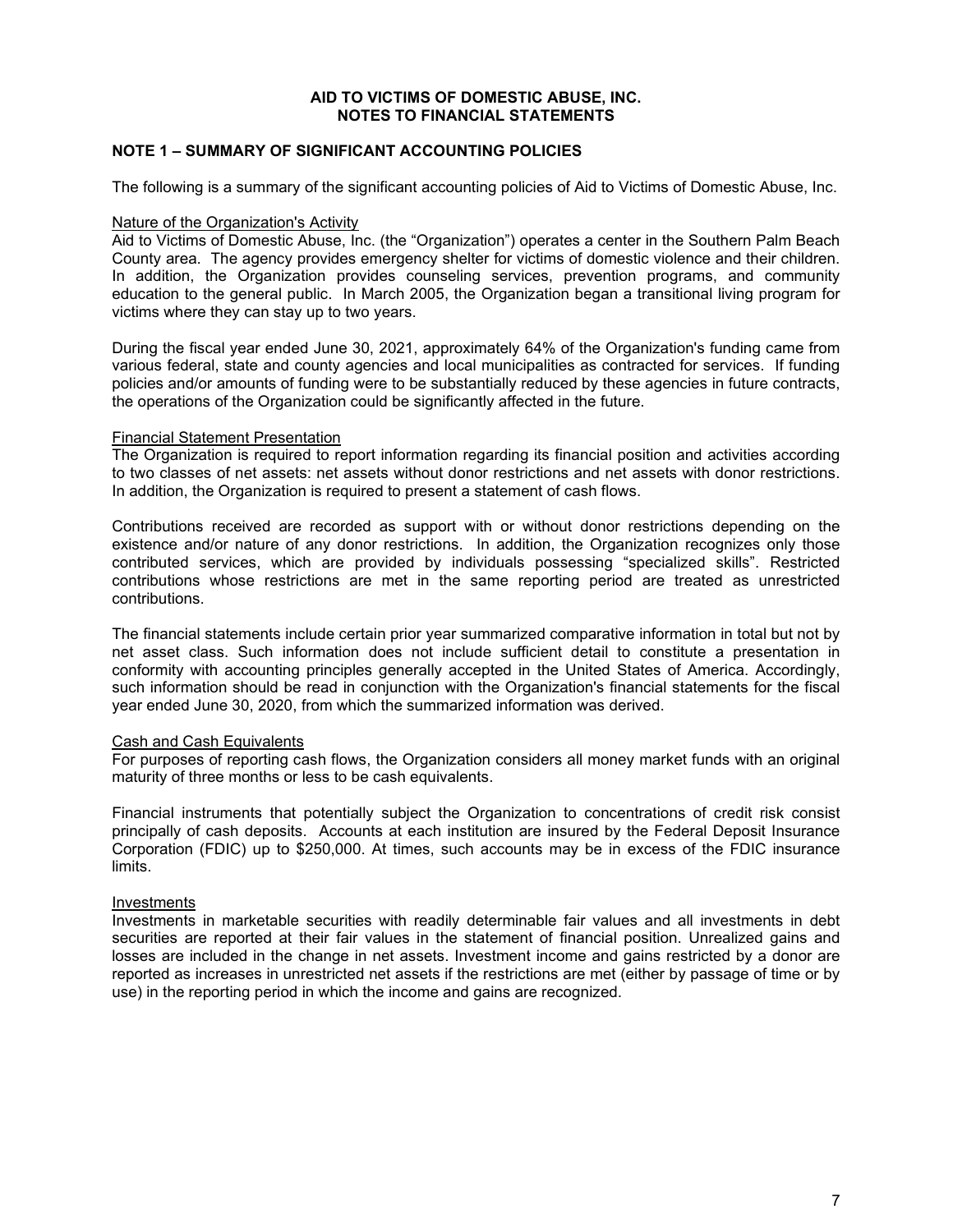### **AID TO VICTIMS OF DOMESTIC ABUSE, INC. NOTES TO FINANCIAL STATEMENTS**

### **NOTE 1 – SUMMARY OF SIGNIFICANT ACCOUNTING POLICIES**

The following is a summary of the significant accounting policies of Aid to Victims of Domestic Abuse, Inc.

#### Nature of the Organization's Activity

Aid to Victims of Domestic Abuse, Inc. (the "Organization") operates a center in the Southern Palm Beach County area. The agency provides emergency shelter for victims of domestic violence and their children. In addition, the Organization provides counseling services, prevention programs, and community education to the general public. In March 2005, the Organization began a transitional living program for victims where they can stay up to two years.

During the fiscal year ended June 30, 2021, approximately 64% of the Organization's funding came from various federal, state and county agencies and local municipalities as contracted for services. If funding policies and/or amounts of funding were to be substantially reduced by these agencies in future contracts, the operations of the Organization could be significantly affected in the future.

#### Financial Statement Presentation

The Organization is required to report information regarding its financial position and activities according to two classes of net assets: net assets without donor restrictions and net assets with donor restrictions. In addition, the Organization is required to present a statement of cash flows.

Contributions received are recorded as support with or without donor restrictions depending on the existence and/or nature of any donor restrictions. In addition, the Organization recognizes only those contributed services, which are provided by individuals possessing "specialized skills". Restricted contributions whose restrictions are met in the same reporting period are treated as unrestricted contributions.

The financial statements include certain prior year summarized comparative information in total but not by net asset class. Such information does not include sufficient detail to constitute a presentation in conformity with accounting principles generally accepted in the United States of America. Accordingly, such information should be read in conjunction with the Organization's financial statements for the fiscal year ended June 30, 2020, from which the summarized information was derived.

### Cash and Cash Equivalents

For purposes of reporting cash flows, the Organization considers all money market funds with an original maturity of three months or less to be cash equivalents.

Financial instruments that potentially subject the Organization to concentrations of credit risk consist principally of cash deposits. Accounts at each institution are insured by the Federal Deposit Insurance Corporation (FDIC) up to \$250,000. At times, such accounts may be in excess of the FDIC insurance limits.

### Investments

Investments in marketable securities with readily determinable fair values and all investments in debt securities are reported at their fair values in the statement of financial position. Unrealized gains and losses are included in the change in net assets. Investment income and gains restricted by a donor are reported as increases in unrestricted net assets if the restrictions are met (either by passage of time or by use) in the reporting period in which the income and gains are recognized.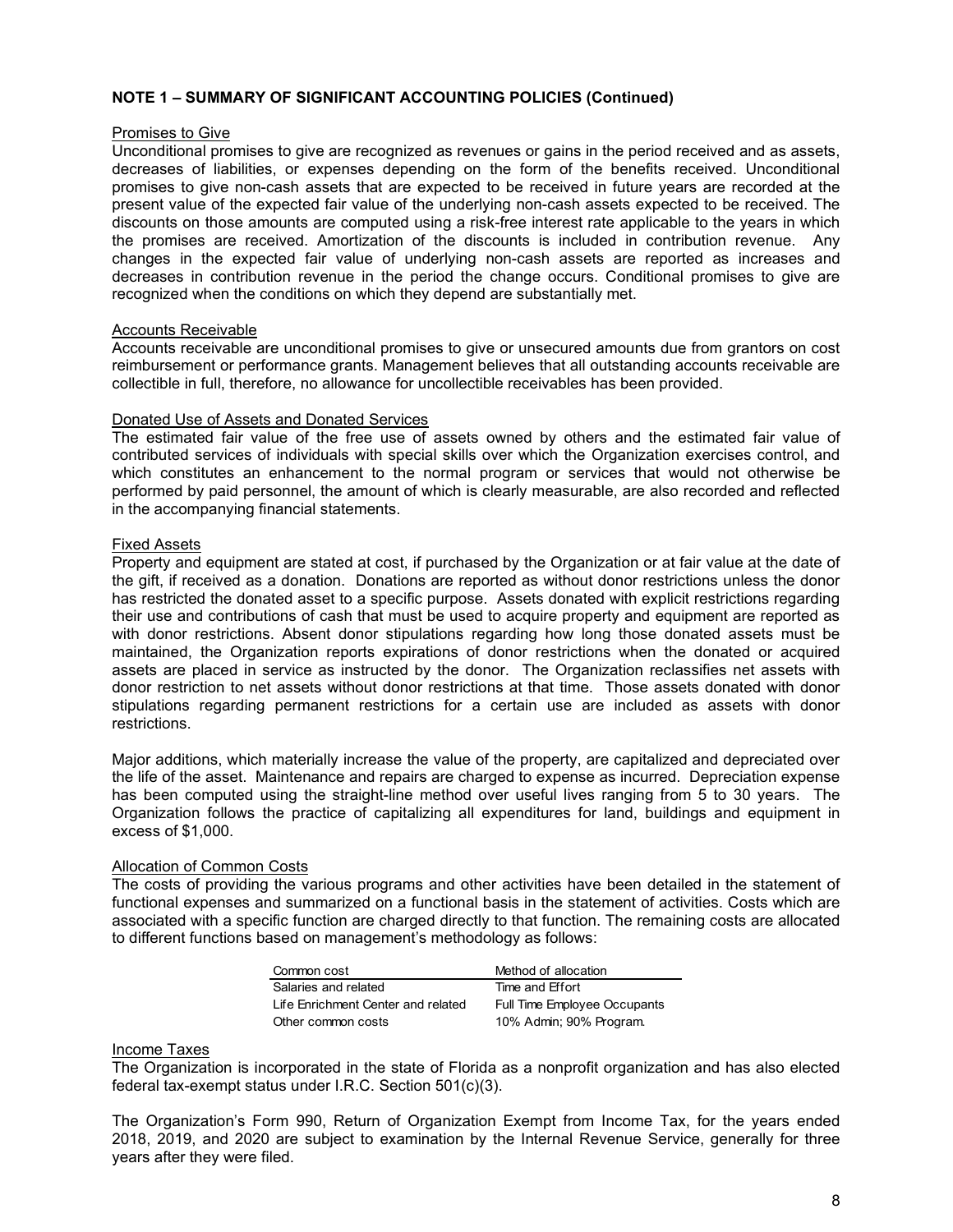# **NOTE 1 – SUMMARY OF SIGNIFICANT ACCOUNTING POLICIES (Continued)**

#### Promises to Give

Unconditional promises to give are recognized as revenues or gains in the period received and as assets, decreases of liabilities, or expenses depending on the form of the benefits received. Unconditional promises to give non-cash assets that are expected to be received in future years are recorded at the present value of the expected fair value of the underlying non-cash assets expected to be received. The discounts on those amounts are computed using a risk-free interest rate applicable to the years in which the promises are received. Amortization of the discounts is included in contribution revenue. Any changes in the expected fair value of underlying non-cash assets are reported as increases and decreases in contribution revenue in the period the change occurs. Conditional promises to give are recognized when the conditions on which they depend are substantially met.

#### Accounts Receivable

Accounts receivable are unconditional promises to give or unsecured amounts due from grantors on cost reimbursement or performance grants. Management believes that all outstanding accounts receivable are collectible in full, therefore, no allowance for uncollectible receivables has been provided.

#### Donated Use of Assets and Donated Services

The estimated fair value of the free use of assets owned by others and the estimated fair value of contributed services of individuals with special skills over which the Organization exercises control, and which constitutes an enhancement to the normal program or services that would not otherwise be performed by paid personnel, the amount of which is clearly measurable, are also recorded and reflected in the accompanying financial statements.

#### Fixed Assets

Property and equipment are stated at cost, if purchased by the Organization or at fair value at the date of the gift, if received as a donation. Donations are reported as without donor restrictions unless the donor has restricted the donated asset to a specific purpose. Assets donated with explicit restrictions regarding their use and contributions of cash that must be used to acquire property and equipment are reported as with donor restrictions. Absent donor stipulations regarding how long those donated assets must be maintained, the Organization reports expirations of donor restrictions when the donated or acquired assets are placed in service as instructed by the donor. The Organization reclassifies net assets with donor restriction to net assets without donor restrictions at that time. Those assets donated with donor stipulations regarding permanent restrictions for a certain use are included as assets with donor restrictions.

Major additions, which materially increase the value of the property, are capitalized and depreciated over the life of the asset. Maintenance and repairs are charged to expense as incurred. Depreciation expense has been computed using the straight-line method over useful lives ranging from 5 to 30 years. The Organization follows the practice of capitalizing all expenditures for land, buildings and equipment in excess of \$1,000.

### Allocation of Common Costs

The costs of providing the various programs and other activities have been detailed in the statement of functional expenses and summarized on a functional basis in the statement of activities. Costs which are associated with a specific function are charged directly to that function. The remaining costs are allocated to different functions based on management's methodology as follows:

| Common cost                        | Method of allocation                |
|------------------------------------|-------------------------------------|
| Salaries and related               | Time and Effort                     |
| Life Enrichment Center and related | <b>Full Time Employee Occupants</b> |
| Other common costs                 | 10% Admin; 90% Program.             |

#### Income Taxes

The Organization is incorporated in the state of Florida as a nonprofit organization and has also elected federal tax-exempt status under I.R.C. Section 501(c)(3).

The Organization's Form 990, Return of Organization Exempt from Income Tax, for the years ended 2018, 2019, and 2020 are subject to examination by the Internal Revenue Service, generally for three years after they were filed.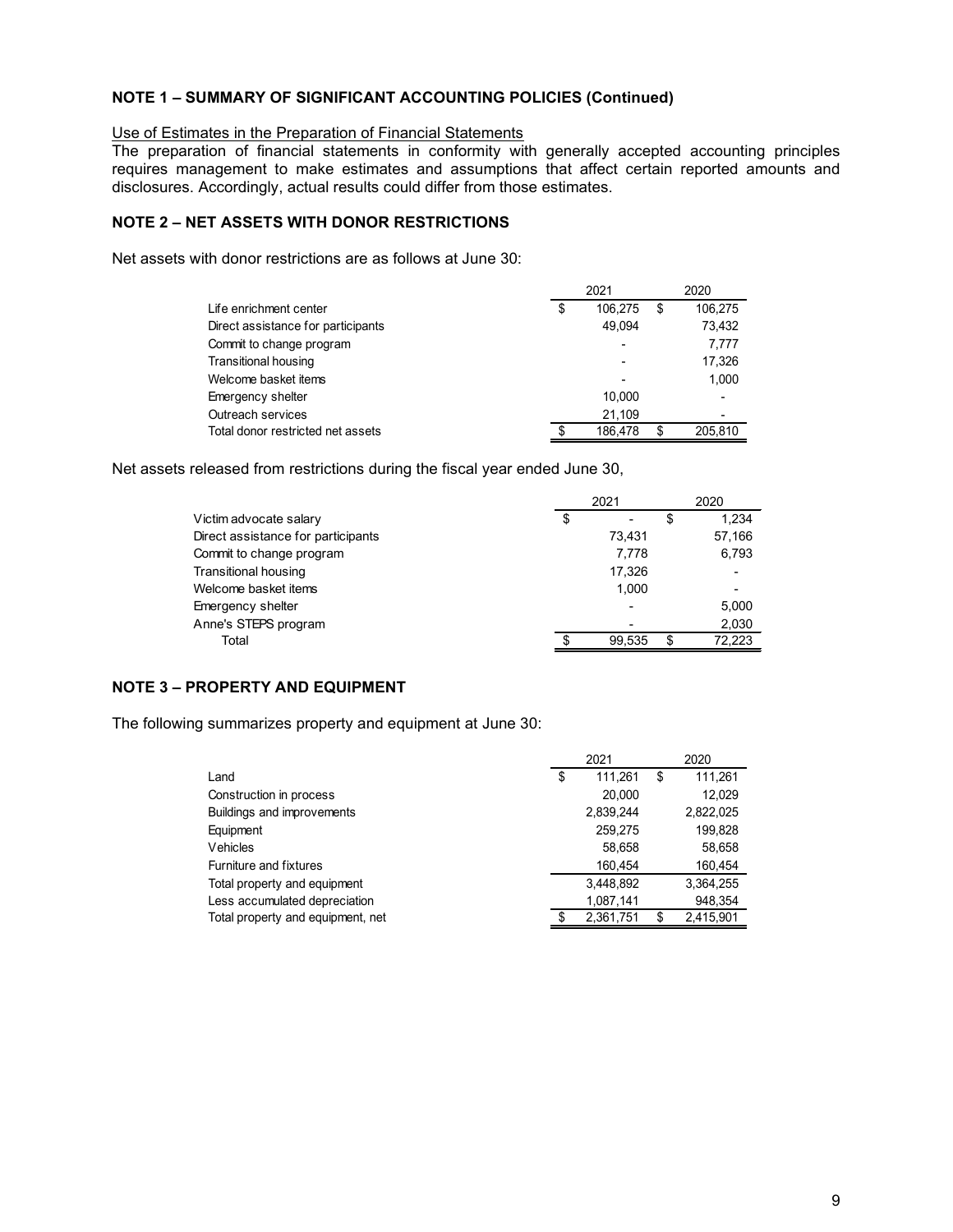# **NOTE 1 – SUMMARY OF SIGNIFICANT ACCOUNTING POLICIES (Continued)**

### Use of Estimates in the Preparation of Financial Statements

The preparation of financial statements in conformity with generally accepted accounting principles requires management to make estimates and assumptions that affect certain reported amounts and disclosures. Accordingly, actual results could differ from those estimates.

# **NOTE 2 – NET ASSETS WITH DONOR RESTRICTIONS**

Net assets with donor restrictions are as follows at June 30:

|                                    | 2021 |                |    | 2020    |
|------------------------------------|------|----------------|----|---------|
| Life enrichment center             | S    | 106.275        | \$ | 106.275 |
| Direct assistance for participants |      | 49.094         |    | 73,432  |
| Commit to change program           |      | -              |    | 7.777   |
| Transitional housing               |      | $\blacksquare$ |    | 17,326  |
| Welcome basket items               |      |                |    | 1,000   |
| Emergency shelter                  |      | 10.000         |    |         |
| Outreach services                  |      | 21.109         |    |         |
| Total donor restricted net assets  |      | 186.478        | S  | 205.810 |

Net assets released from restrictions during the fiscal year ended June 30,

|                                    | 2021 |        |     | 2020                     |
|------------------------------------|------|--------|-----|--------------------------|
| Victim advocate salary             |      |        | S   | 1.234                    |
| Direct assistance for participants |      | 73.431 |     | 57,166                   |
| Commit to change program           |      | 7.778  |     | 6,793                    |
| Transitional housing               |      | 17,326 |     | $\overline{\phantom{0}}$ |
| Welcome basket items               |      | 1.000  |     |                          |
| Emergency shelter                  |      |        |     | 5,000                    |
| Anne's STEPS program               |      |        |     | 2,030                    |
| Total                              |      | 99.535 | \$. | 72.223                   |

# **NOTE 3 – PROPERTY AND EQUIPMENT**

The following summarizes property and equipment at June 30:

|                                   | 2021 |           |   | 2020      |
|-----------------------------------|------|-----------|---|-----------|
| Land                              | \$   | 111.261   | S | 111,261   |
| Construction in process           |      | 20,000    |   | 12,029    |
| Buildings and improvements        |      | 2,839,244 |   | 2,822,025 |
| Equipment                         |      | 259,275   |   | 199,828   |
| Vehicles                          |      | 58,658    |   | 58,658    |
| Furniture and fixtures            |      | 160,454   |   | 160,454   |
| Total property and equipment      |      | 3,448,892 |   | 3,364,255 |
| Less accumulated depreciation     |      | 1,087,141 |   | 948.354   |
| Total property and equipment, net |      | 2,361,751 |   | 2,415,901 |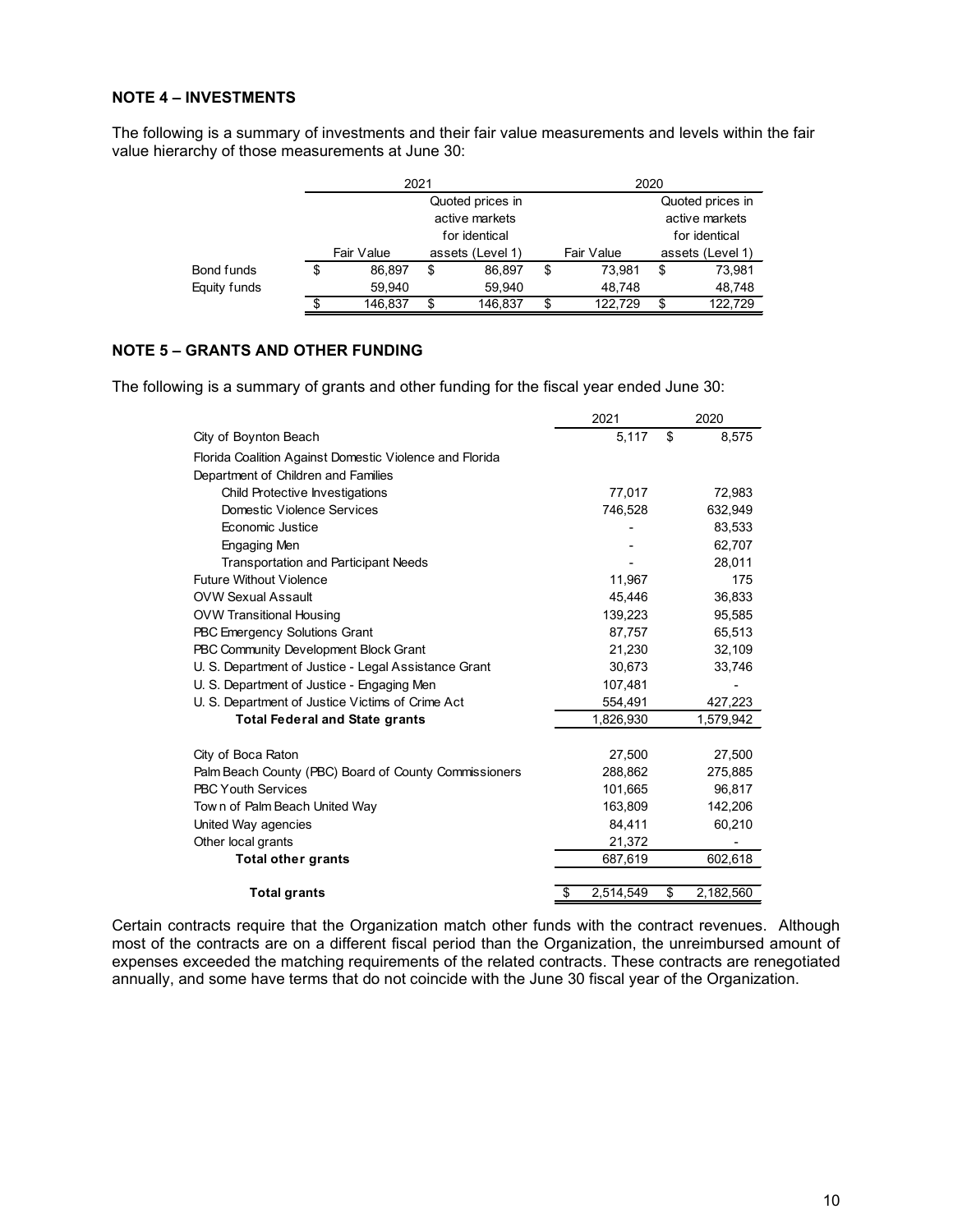## **NOTE 4 – INVESTMENTS**

|              | 2021             |                  |                |               |         | 2020       |                  |  |                  |
|--------------|------------------|------------------|----------------|---------------|---------|------------|------------------|--|------------------|
|              | Quoted prices in |                  |                |               |         |            | Quoted prices in |  |                  |
|              |                  |                  | active markets |               |         |            |                  |  |                  |
|              |                  | for identical    |                | for identical |         |            |                  |  |                  |
|              | Fair Value       | assets (Level 1) |                |               |         | Fair Value |                  |  | assets (Level 1) |
| Bond funds   | \$<br>86.897     | \$               | 86.897         | \$            | 73.981  | \$         | 73,981           |  |                  |
| Equity funds | 59.940           |                  | 59,940         |               | 48.748  |            | 48,748           |  |                  |
|              | 146.837          | \$               | 146.837        |               | 122.729 | S          | 122.729          |  |                  |

The following is a summary of investments and their fair value measurements and levels within the fair value hierarchy of those measurements at June 30:

# **NOTE 5 – GRANTS AND OTHER FUNDING**

The following is a summary of grants and other funding for the fiscal year ended June 30:

|                                                         | 2021            | 2020            |
|---------------------------------------------------------|-----------------|-----------------|
| City of Boynton Beach                                   | 5,117           | \$<br>8,575     |
| Florida Coalition Against Domestic Violence and Florida |                 |                 |
| Department of Children and Families                     |                 |                 |
| <b>Child Protective Investigations</b>                  | 77,017          | 72,983          |
| Domestic Violence Services                              | 746,528         | 632,949         |
| Economic Justice                                        |                 | 83,533          |
| <b>Engaging Men</b>                                     |                 | 62,707          |
| <b>Transportation and Participant Needs</b>             |                 | 28,011          |
| <b>Future Without Violence</b>                          | 11,967          | 175             |
| OVW Sexual Assault                                      | 45,446          | 36,833          |
| OVW Transitional Housing                                | 139,223         | 95,585          |
| PBC Emergency Solutions Grant                           | 87,757          | 65,513          |
| PBC Community Development Block Grant                   | 21,230          | 32,109          |
| U. S. Department of Justice - Legal Assistance Grant    | 30,673          | 33,746          |
| U. S. Department of Justice - Engaging Men              | 107,481         |                 |
| U. S. Department of Justice Victims of Crime Act        | 554,491         | 427,223         |
| <b>Total Federal and State grants</b>                   | 1,826,930       | 1,579,942       |
|                                                         |                 |                 |
| City of Boca Raton                                      | 27,500          | 27,500          |
| Palm Beach County (PBC) Board of County Commissioners   | 288,862         | 275,885         |
| <b>PBC Youth Services</b>                               | 101,665         | 96,817          |
| Tow n of Palm Beach United Way                          | 163,809         | 142,206         |
| United Way agencies                                     | 84,411          | 60,210          |
| Other local grants                                      | 21,372          |                 |
| <b>Total other grants</b>                               | 687,619         | 602,618         |
|                                                         |                 |                 |
| <b>Total grants</b>                                     | \$<br>2,514,549 | \$<br>2,182,560 |

Certain contracts require that the Organization match other funds with the contract revenues. Although most of the contracts are on a different fiscal period than the Organization, the unreimbursed amount of expenses exceeded the matching requirements of the related contracts. These contracts are renegotiated annually, and some have terms that do not coincide with the June 30 fiscal year of the Organization.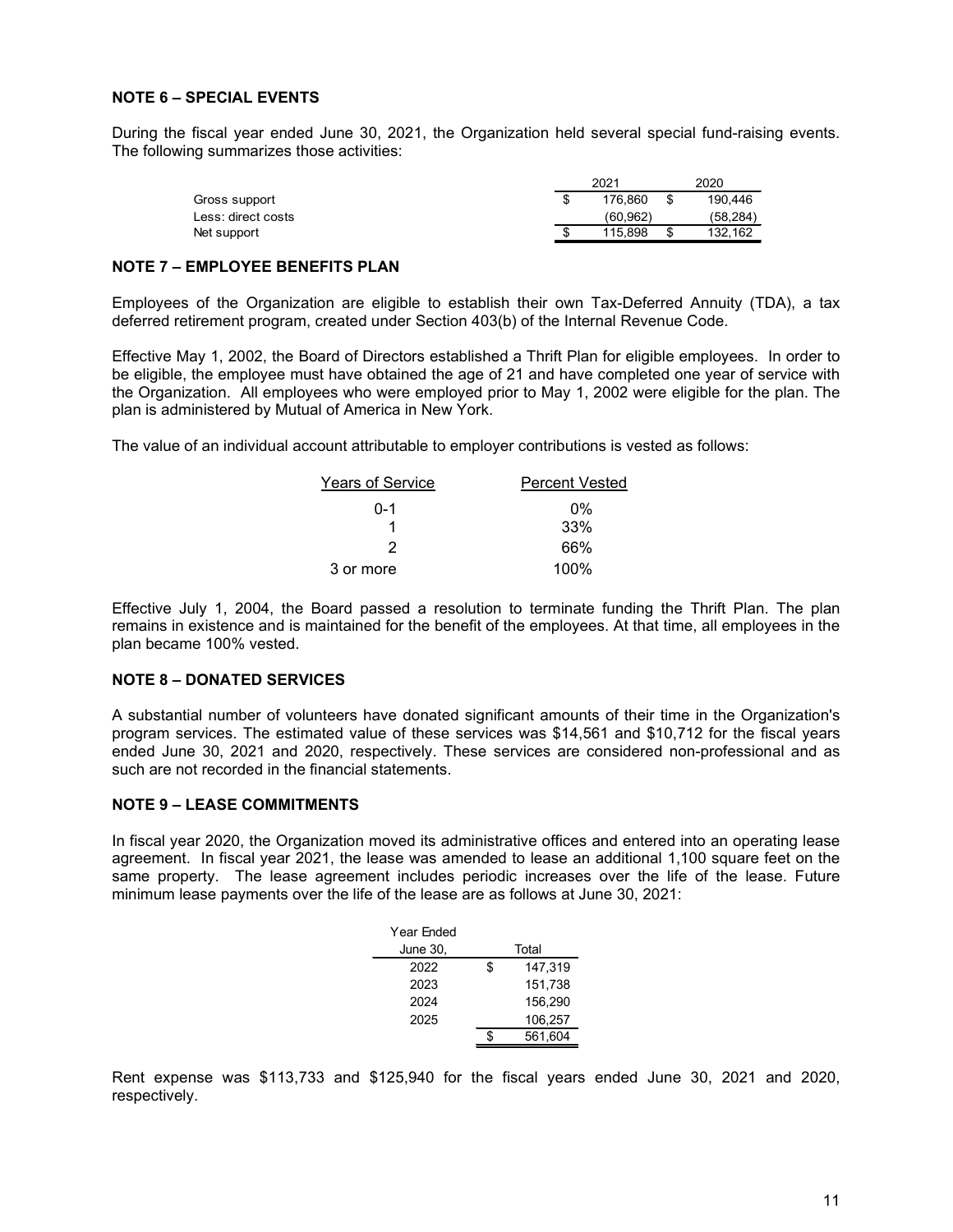## **NOTE 6 – SPECIAL EVENTS**

During the fiscal year ended June 30, 2021, the Organization held several special fund-raising events. The following summarizes those activities:

|                    | 2021     | 2020      |
|--------------------|----------|-----------|
| Gross support      | 176.860  | 190.446   |
| Less: direct costs | (60.962) | (58, 284) |
| Net support        | 115.898  | 132,162   |

### **NOTE 7 – EMPLOYEE BENEFITS PLAN**

Employees of the Organization are eligible to establish their own Tax-Deferred Annuity (TDA), a tax deferred retirement program, created under Section 403(b) of the Internal Revenue Code.

Effective May 1, 2002, the Board of Directors established a Thrift Plan for eligible employees. In order to be eligible, the employee must have obtained the age of 21 and have completed one year of service with the Organization. All employees who were employed prior to May 1, 2002 were eligible for the plan. The plan is administered by Mutual of America in New York.

The value of an individual account attributable to employer contributions is vested as follows:

| <b>Years of Service</b> | <b>Percent Vested</b> |
|-------------------------|-----------------------|
| $0 - 1$                 | 0%                    |
|                         | 33%                   |
| 2                       | 66%                   |
| 3 or more               | $100\%$               |

Effective July 1, 2004, the Board passed a resolution to terminate funding the Thrift Plan. The plan remains in existence and is maintained for the benefit of the employees. At that time, all employees in the plan became 100% vested.

### **NOTE 8 – DONATED SERVICES**

A substantial number of volunteers have donated significant amounts of their time in the Organization's program services. The estimated value of these services was \$14,561 and \$10,712 for the fiscal years ended June 30, 2021 and 2020, respectively. These services are considered non-professional and as such are not recorded in the financial statements.

### **NOTE 9 – LEASE COMMITMENTS**

In fiscal year 2020, the Organization moved its administrative offices and entered into an operating lease agreement. In fiscal year 2021, the lease was amended to lease an additional 1,100 square feet on the same property. The lease agreement includes periodic increases over the life of the lease. Future minimum lease payments over the life of the lease are as follows at June 30, 2021:

| Year Fnded |               |
|------------|---------------|
| June 30,   | Total         |
| 2022       | \$<br>147.319 |
| 2023       | 151.738       |
| 2024       | 156.290       |
| 2025       | 106,257       |
|            | 561,604       |

Rent expense was \$113,733 and \$125,940 for the fiscal years ended June 30, 2021 and 2020, respectively.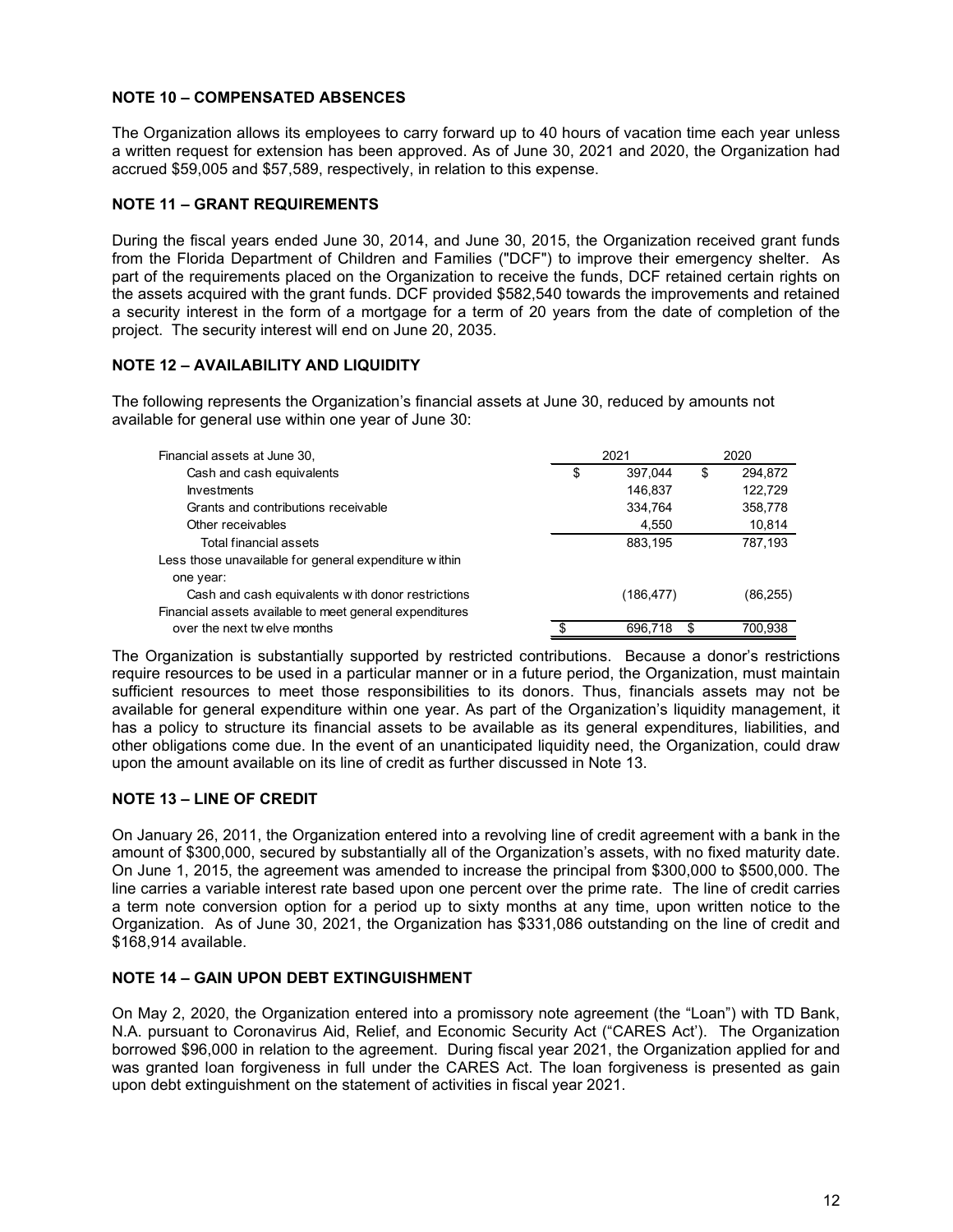# **NOTE 10 – COMPENSATED ABSENCES**

The Organization allows its employees to carry forward up to 40 hours of vacation time each year unless a written request for extension has been approved. As of June 30, 2021 and 2020, the Organization had accrued \$59,005 and \$57,589, respectively, in relation to this expense.

# **NOTE 11 – GRANT REQUIREMENTS**

During the fiscal years ended June 30, 2014, and June 30, 2015, the Organization received grant funds from the Florida Department of Children and Families ("DCF") to improve their emergency shelter. As part of the requirements placed on the Organization to receive the funds, DCF retained certain rights on the assets acquired with the grant funds. DCF provided \$582,540 towards the improvements and retained a security interest in the form of a mortgage for a term of 20 years from the date of completion of the project. The security interest will end on June 20, 2035.

## **NOTE 12 – AVAILABILITY AND LIQUIDITY**

The following represents the Organization's financial assets at June 30, reduced by amounts not available for general use within one year of June 30:

| Financial assets at June 30,                            | 2021          |    | 2020     |
|---------------------------------------------------------|---------------|----|----------|
| Cash and cash equivalents                               | \$<br>397.044 | \$ | 294.872  |
| <b>Investments</b>                                      | 146.837       |    | 122,729  |
| Grants and contributions receivable                     | 334,764       |    | 358,778  |
| Other receivables                                       | 4,550         |    | 10,814   |
| Total financial assets                                  | 883.195       |    | 787,193  |
| Less those unavailable for general expenditure within   |               |    |          |
| one year:                                               |               |    |          |
| Cash and cash equivalents with donor restrictions       | (186, 477)    |    | (86,255) |
| Financial assets available to meet general expenditures |               |    |          |
| over the next twelve months                             | 696.718       | S  | 700.938  |

The Organization is substantially supported by restricted contributions. Because a donor's restrictions require resources to be used in a particular manner or in a future period, the Organization, must maintain sufficient resources to meet those responsibilities to its donors. Thus, financials assets may not be available for general expenditure within one year. As part of the Organization's liquidity management, it has a policy to structure its financial assets to be available as its general expenditures, liabilities, and other obligations come due. In the event of an unanticipated liquidity need, the Organization, could draw upon the amount available on its line of credit as further discussed in Note 13.

# **NOTE 13 – LINE OF CREDIT**

On January 26, 2011, the Organization entered into a revolving line of credit agreement with a bank in the amount of \$300,000, secured by substantially all of the Organization's assets, with no fixed maturity date. On June 1, 2015, the agreement was amended to increase the principal from \$300,000 to \$500,000. The line carries a variable interest rate based upon one percent over the prime rate. The line of credit carries a term note conversion option for a period up to sixty months at any time, upon written notice to the Organization. As of June 30, 2021, the Organization has \$331,086 outstanding on the line of credit and \$168,914 available.

### **NOTE 14 – GAIN UPON DEBT EXTINGUISHMENT**

On May 2, 2020, the Organization entered into a promissory note agreement (the "Loan") with TD Bank, N.A. pursuant to Coronavirus Aid, Relief, and Economic Security Act ("CARES Act'). The Organization borrowed \$96,000 in relation to the agreement. During fiscal year 2021, the Organization applied for and was granted loan forgiveness in full under the CARES Act. The loan forgiveness is presented as gain upon debt extinguishment on the statement of activities in fiscal year 2021.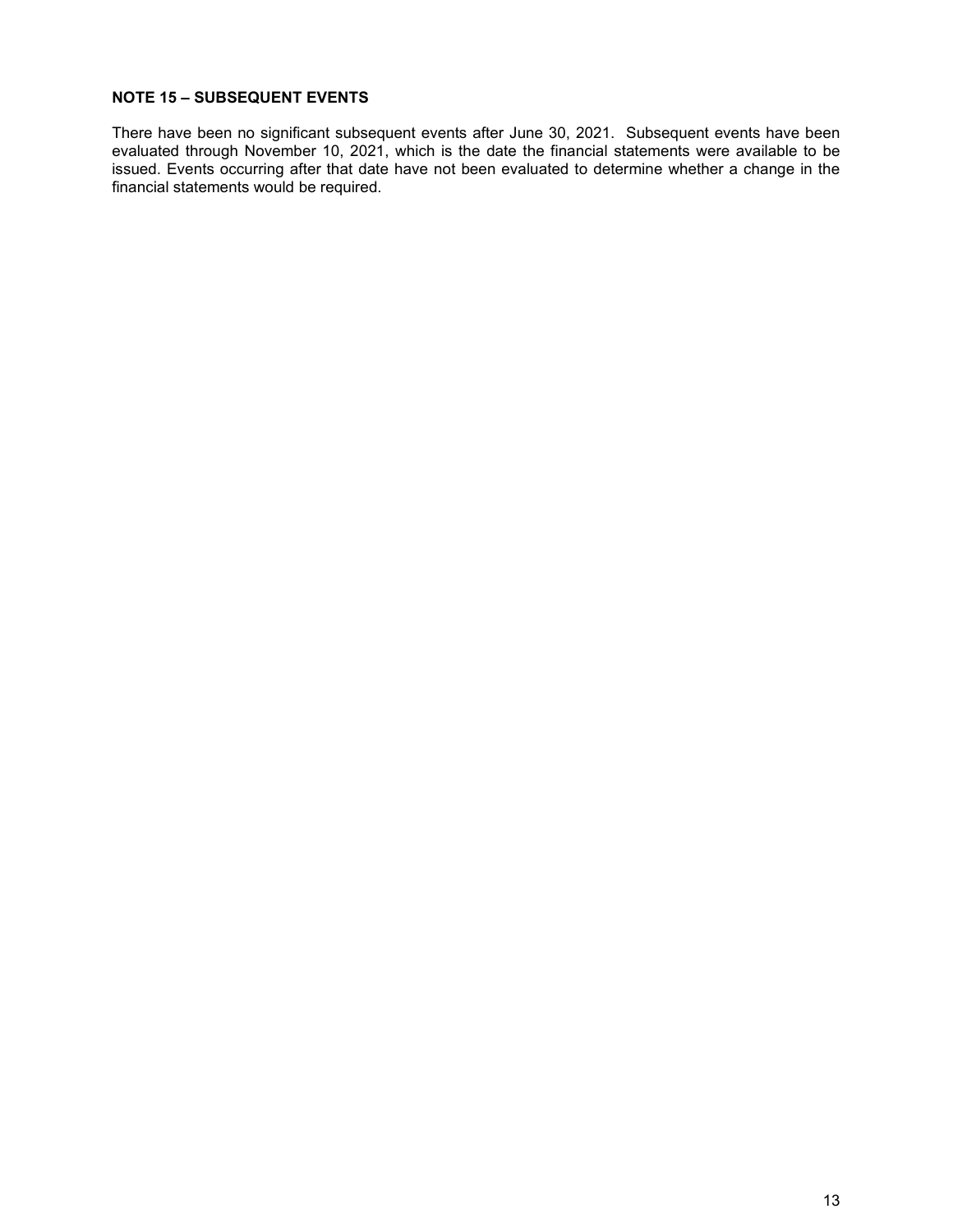# **NOTE 15 – SUBSEQUENT EVENTS**

There have been no significant subsequent events after June 30, 2021. Subsequent events have been evaluated through November 10, 2021, which is the date the financial statements were available to be issued. Events occurring after that date have not been evaluated to determine whether a change in the financial statements would be required.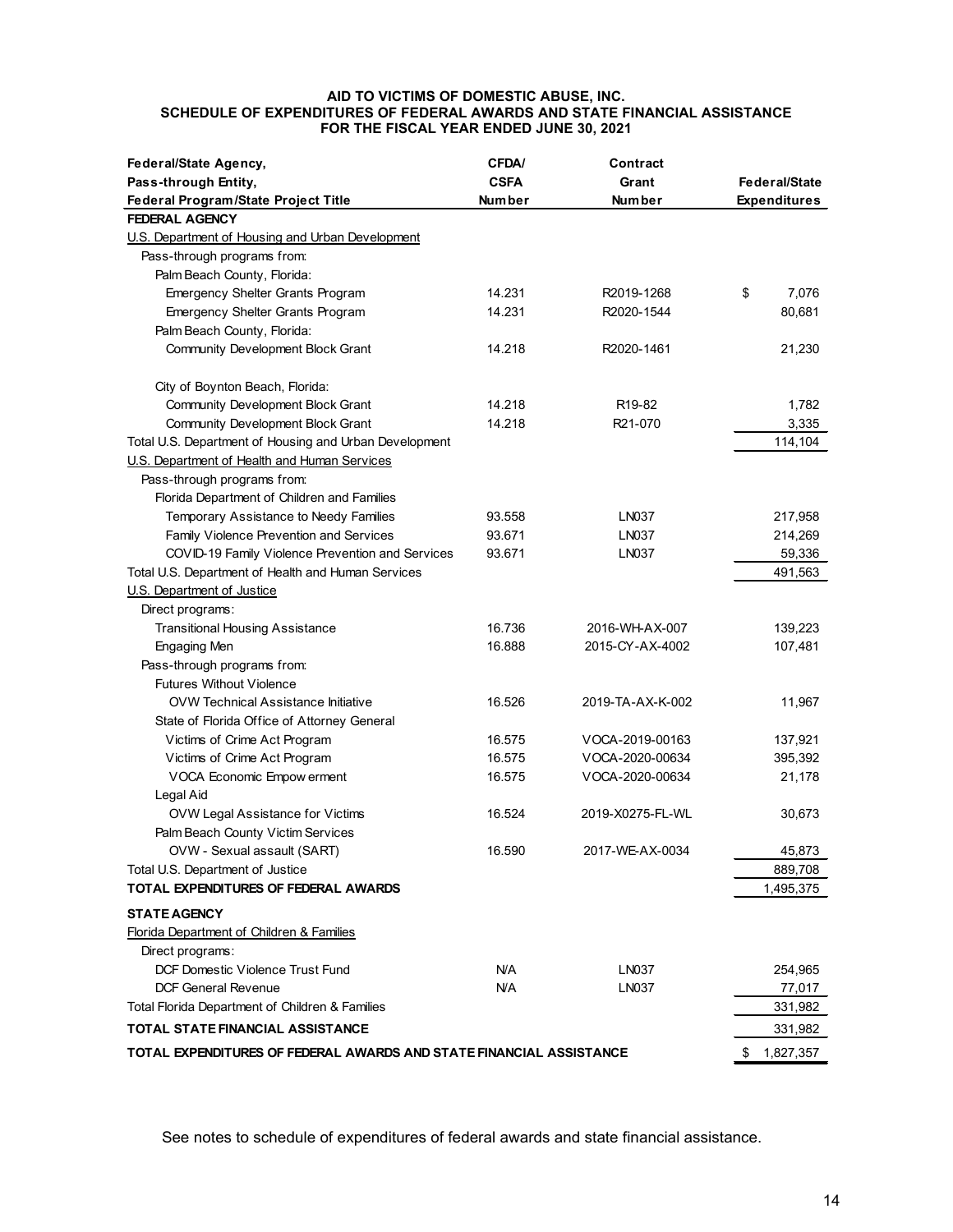#### **AID TO VICTIMS OF DOMESTIC ABUSE, INC. SCHEDULE OF EXPENDITURES OF FEDERAL AWARDS AND STATE FINANCIAL ASSISTANCE FOR THE FISCAL YEAR ENDED JUNE 30, 2021**

| Federal/State Agency,                                               | <b>CFDA/</b>  | Contract            |                      |
|---------------------------------------------------------------------|---------------|---------------------|----------------------|
| Pass-through Entity,                                                | <b>CSFA</b>   | Grant               | <b>Federal/State</b> |
| Federal Program/State Project Title                                 | <b>Number</b> | Number              | <b>Expenditures</b>  |
| <b>FEDERAL AGENCY</b>                                               |               |                     |                      |
| U.S. Department of Housing and Urban Development                    |               |                     |                      |
| Pass-through programs from:                                         |               |                     |                      |
| Palm Beach County, Florida:                                         |               |                     |                      |
| <b>Emergency Shelter Grants Program</b>                             | 14.231        | R2019-1268          | 7,076<br>\$          |
| <b>Emergency Shelter Grants Program</b>                             | 14.231        | R2020-1544          | 80,681               |
| Palm Beach County, Florida:                                         |               |                     |                      |
| Community Development Block Grant                                   | 14.218        | R2020-1461          | 21,230               |
| City of Boynton Beach, Florida:                                     |               |                     |                      |
| Community Development Block Grant                                   | 14.218        | R <sub>19</sub> -82 | 1,782                |
| Community Development Block Grant                                   | 14.218        | R21-070             | 3,335                |
| Total U.S. Department of Housing and Urban Development              |               |                     | 114,104              |
| U.S. Department of Health and Human Services                        |               |                     |                      |
| Pass-through programs from:                                         |               |                     |                      |
| Florida Department of Children and Families                         |               |                     |                      |
| Temporary Assistance to Needy Families                              | 93.558        | LN037               | 217,958              |
| Family Violence Prevention and Services                             | 93.671        | LN037               | 214,269              |
| COVID-19 Family Violence Prevention and Services                    | 93.671        | LN037               | 59,336               |
| Total U.S. Department of Health and Human Services                  |               |                     | 491,563              |
| U.S. Department of Justice                                          |               |                     |                      |
| Direct programs:                                                    |               |                     |                      |
| <b>Transitional Housing Assistance</b>                              | 16.736        | 2016-WH-AX-007      | 139,223              |
| <b>Engaging Men</b>                                                 | 16.888        | 2015-CY-AX-4002     | 107,481              |
| Pass-through programs from:                                         |               |                     |                      |
| <b>Futures Without Violence</b>                                     |               |                     |                      |
| OVW Technical Assistance Initiative                                 | 16.526        | 2019-TA-AX-K-002    | 11,967               |
| State of Florida Office of Attorney General                         |               |                     |                      |
| Victims of Crime Act Program                                        | 16.575        | VOCA-2019-00163     | 137,921              |
| Victims of Crime Act Program                                        | 16.575        | VOCA-2020-00634     | 395,392              |
| VOCA Economic Empow erment                                          | 16.575        | VOCA-2020-00634     | 21,178               |
| Legal Aid                                                           |               |                     |                      |
| OVW Legal Assistance for Victims                                    | 16.524        | 2019-X0275-FL-WL    | 30,673               |
| Palm Beach County Victim Services                                   |               |                     |                      |
| OVW - Sexual assault (SART)                                         | 16.590        | 2017-WE-AX-0034     | 45,873               |
| Total U.S. Department of Justice                                    |               |                     | 889,708              |
| <b>TOTAL EXPENDITURES OF FEDERAL AWARDS</b>                         |               |                     | 1,495,375            |
| <b>STATE AGENCY</b>                                                 |               |                     |                      |
| Florida Department of Children & Families                           |               |                     |                      |
| Direct programs:                                                    |               |                     |                      |
| DCF Domestic Violence Trust Fund                                    | N/A           | LN037               | 254,965              |
| <b>DCF General Revenue</b>                                          | <b>N/A</b>    | LN037               | 77,017               |
| Total Florida Department of Children & Families                     |               |                     | 331,982              |
| TOTAL STATE FINANCIAL ASSISTANCE                                    |               |                     | 331,982              |
| TOTAL EXPENDITURES OF FEDERAL AWARDS AND STATE FINANCIAL ASSISTANCE |               |                     | 1,827,357<br>\$      |

See notes to schedule of expenditures of federal awards and state financial assistance.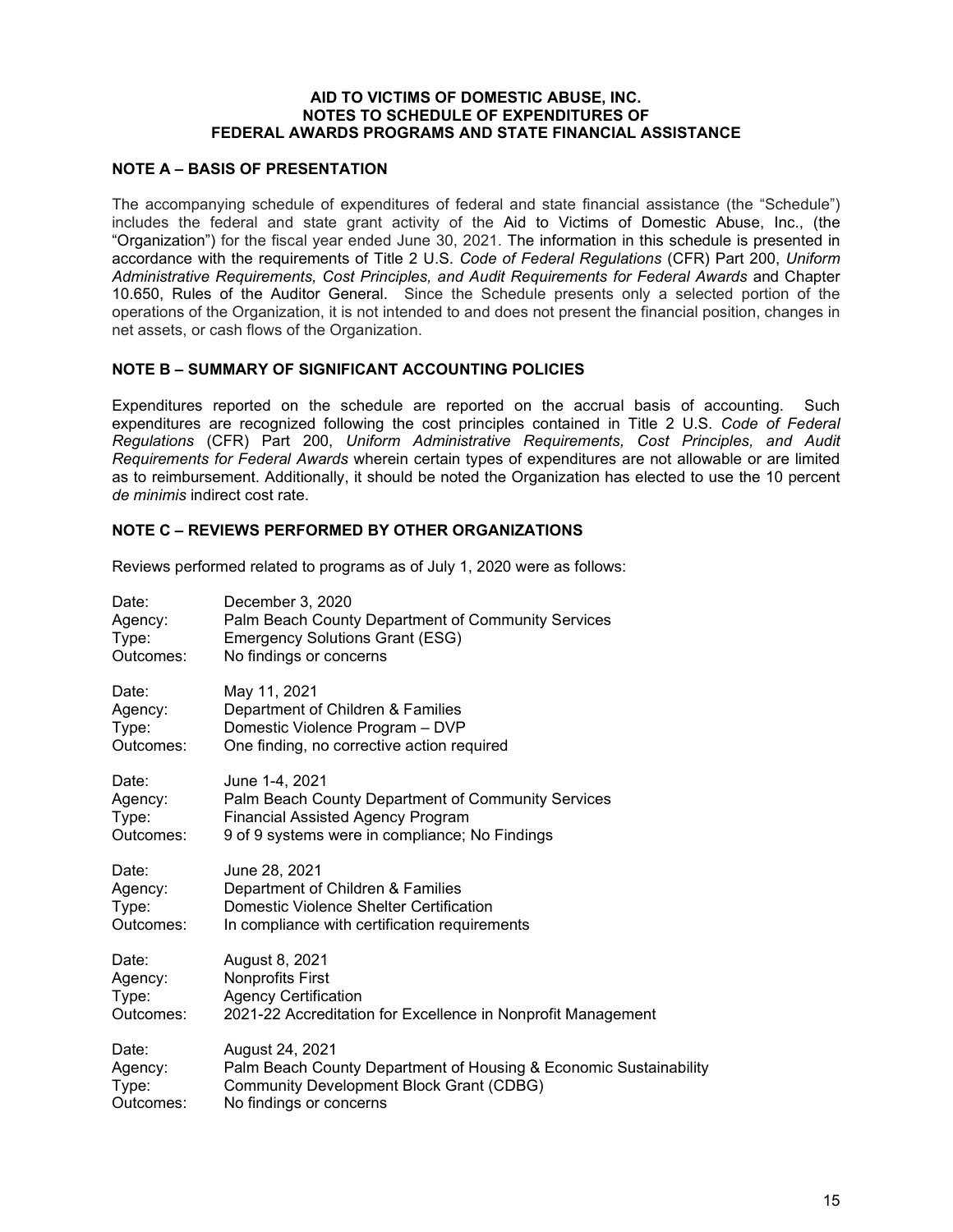### **AID TO VICTIMS OF DOMESTIC ABUSE, INC. NOTES TO SCHEDULE OF EXPENDITURES OF FEDERAL AWARDS PROGRAMS AND STATE FINANCIAL ASSISTANCE**

## **NOTE A – BASIS OF PRESENTATION**

The accompanying schedule of expenditures of federal and state financial assistance (the "Schedule") includes the federal and state grant activity of the Aid to Victims of Domestic Abuse, Inc., (the "Organization") for the fiscal year ended June 30, 2021. The information in this schedule is presented in accordance with the requirements of Title 2 U.S. *Code of Federal Regulations* (CFR) Part 200, *Uniform Administrative Requirements, Cost Principles, and Audit Requirements for Federal Awards* and Chapter 10.650, Rules of the Auditor General. Since the Schedule presents only a selected portion of the operations of the Organization, it is not intended to and does not present the financial position, changes in net assets, or cash flows of the Organization.

### **NOTE B – SUMMARY OF SIGNIFICANT ACCOUNTING POLICIES**

Expenditures reported on the schedule are reported on the accrual basis of accounting. Such expenditures are recognized following the cost principles contained in Title 2 U.S. *Code of Federal Regulations* (CFR) Part 200, *Uniform Administrative Requirements, Cost Principles, and Audit Requirements for Federal Awards* wherein certain types of expenditures are not allowable or are limited as to reimbursement. Additionally, it should be noted the Organization has elected to use the 10 percent *de minimis* indirect cost rate.

# **NOTE C – REVIEWS PERFORMED BY OTHER ORGANIZATIONS**

Reviews performed related to programs as of July 1, 2020 were as follows:

| Date:     | December 3, 2020                                                  |
|-----------|-------------------------------------------------------------------|
| Agency:   | Palm Beach County Department of Community Services                |
| Type:     | <b>Emergency Solutions Grant (ESG)</b>                            |
| Outcomes: | No findings or concerns                                           |
| Date:     | May 11, 2021                                                      |
| Agency:   | Department of Children & Families                                 |
| Type:     | Domestic Violence Program - DVP                                   |
| Outcomes: | One finding, no corrective action required                        |
| Date:     | June 1-4, 2021                                                    |
| Agency:   | Palm Beach County Department of Community Services                |
| Type:     | <b>Financial Assisted Agency Program</b>                          |
| Outcomes: | 9 of 9 systems were in compliance; No Findings                    |
| Date:     | June 28, 2021                                                     |
| Agency:   | Department of Children & Families                                 |
| Type:     | Domestic Violence Shelter Certification                           |
| Outcomes: | In compliance with certification requirements                     |
| Date:     | August 8, 2021                                                    |
| Agency:   | <b>Nonprofits First</b>                                           |
| Type:     | <b>Agency Certification</b>                                       |
| Outcomes: | 2021-22 Accreditation for Excellence in Nonprofit Management      |
| Date:     | August 24, 2021                                                   |
| Agency:   | Palm Beach County Department of Housing & Economic Sustainability |
| Type:     | <b>Community Development Block Grant (CDBG)</b>                   |
| Outcomes: | No findings or concerns                                           |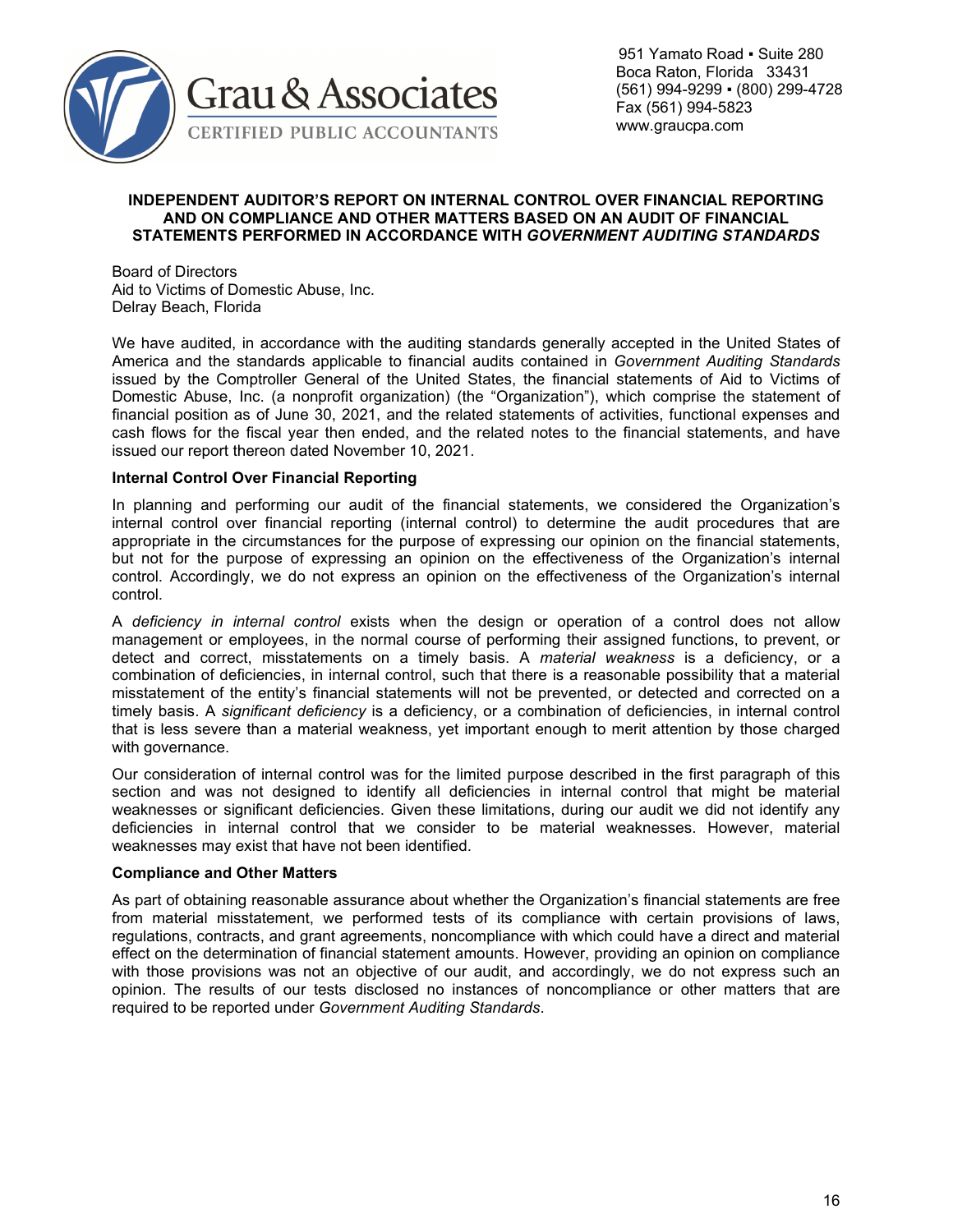

951 Yamato Road • Suite 280 Boca Raton, Florida 33431 (561) 994-9299 ▪ (800) 299-4728 Fax (561) 994-5823 www.graucpa.com

### **INDEPENDENT AUDITOR'S REPORT ON INTERNAL CONTROL OVER FINANCIAL REPORTING AND ON COMPLIANCE AND OTHER MATTERS BASED ON AN AUDIT OF FINANCIAL STATEMENTS PERFORMED IN ACCORDANCE WITH** *GOVERNMENT AUDITING STANDARDS*

Board of Directors Aid to Victims of Domestic Abuse, Inc. Delray Beach, Florida

We have audited, in accordance with the auditing standards generally accepted in the United States of America and the standards applicable to financial audits contained in *Government Auditing Standards* issued by the Comptroller General of the United States, the financial statements of Aid to Victims of Domestic Abuse, Inc. (a nonprofit organization) (the "Organization"), which comprise the statement of financial position as of June 30, 2021, and the related statements of activities, functional expenses and cash flows for the fiscal year then ended, and the related notes to the financial statements, and have issued our report thereon dated November 10, 2021.

## **Internal Control Over Financial Reporting**

In planning and performing our audit of the financial statements, we considered the Organization's internal control over financial reporting (internal control) to determine the audit procedures that are appropriate in the circumstances for the purpose of expressing our opinion on the financial statements, but not for the purpose of expressing an opinion on the effectiveness of the Organization's internal control. Accordingly, we do not express an opinion on the effectiveness of the Organization's internal control.

A *deficiency in internal control* exists when the design or operation of a control does not allow management or employees, in the normal course of performing their assigned functions, to prevent, or detect and correct, misstatements on a timely basis. A *material weakness* is a deficiency, or a combination of deficiencies, in internal control, such that there is a reasonable possibility that a material misstatement of the entity's financial statements will not be prevented, or detected and corrected on a timely basis. A *significant deficiency* is a deficiency, or a combination of deficiencies, in internal control that is less severe than a material weakness, yet important enough to merit attention by those charged with governance.

Our consideration of internal control was for the limited purpose described in the first paragraph of this section and was not designed to identify all deficiencies in internal control that might be material weaknesses or significant deficiencies. Given these limitations, during our audit we did not identify any deficiencies in internal control that we consider to be material weaknesses. However, material weaknesses may exist that have not been identified.

# **Compliance and Other Matters**

As part of obtaining reasonable assurance about whether the Organization's financial statements are free from material misstatement, we performed tests of its compliance with certain provisions of laws, regulations, contracts, and grant agreements, noncompliance with which could have a direct and material effect on the determination of financial statement amounts. However, providing an opinion on compliance with those provisions was not an objective of our audit, and accordingly, we do not express such an opinion. The results of our tests disclosed no instances of noncompliance or other matters that are required to be reported under *Government Auditing Standards*.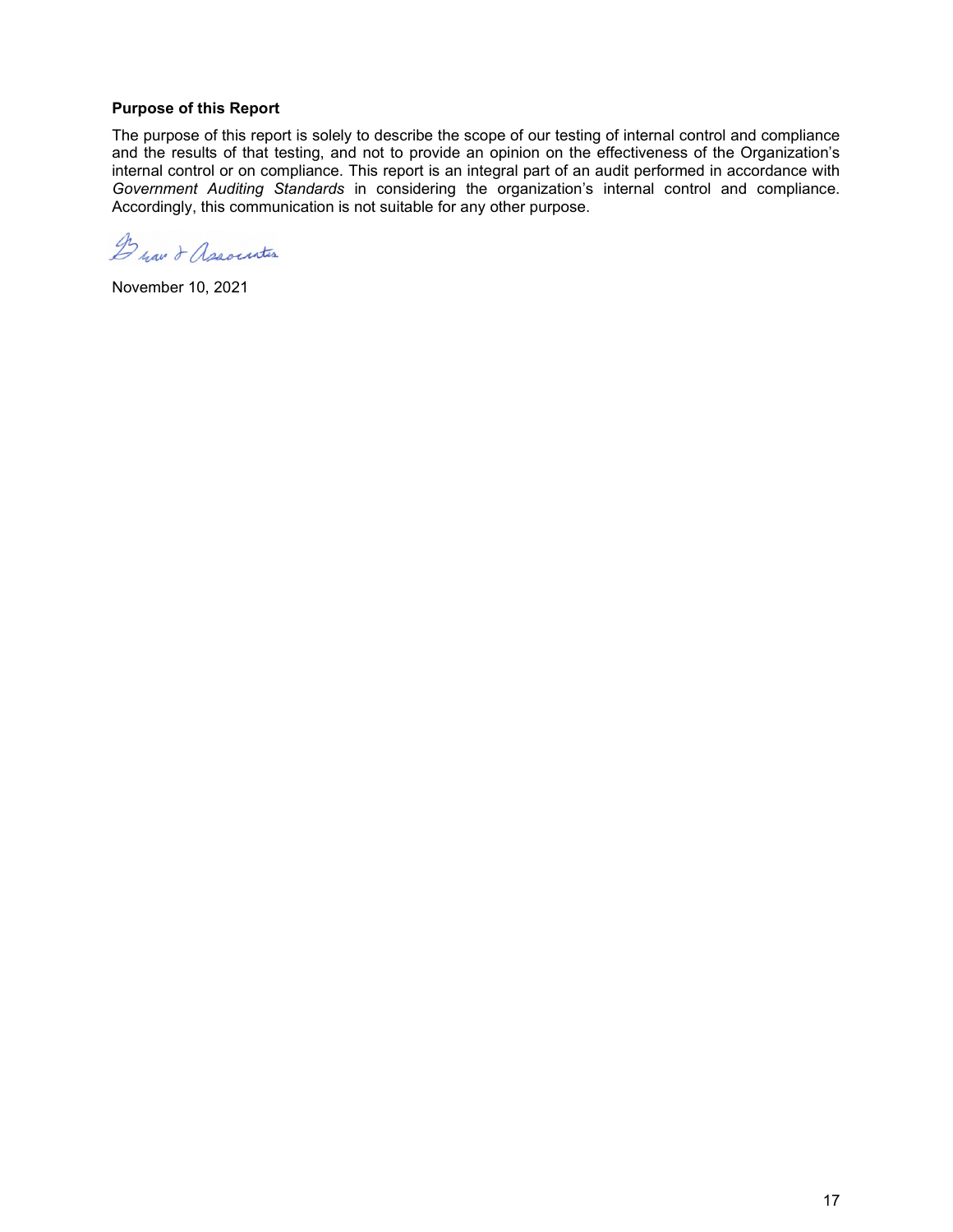# **Purpose of this Report**

The purpose of this report is solely to describe the scope of our testing of internal control and compliance and the results of that testing, and not to provide an opinion on the effectiveness of the Organization's internal control or on compliance. This report is an integral part of an audit performed in accordance with *Government Auditing Standards* in considering the organization's internal control and compliance. Accordingly, this communication is not suitable for any other purpose.

De nav & Association

November 10, 2021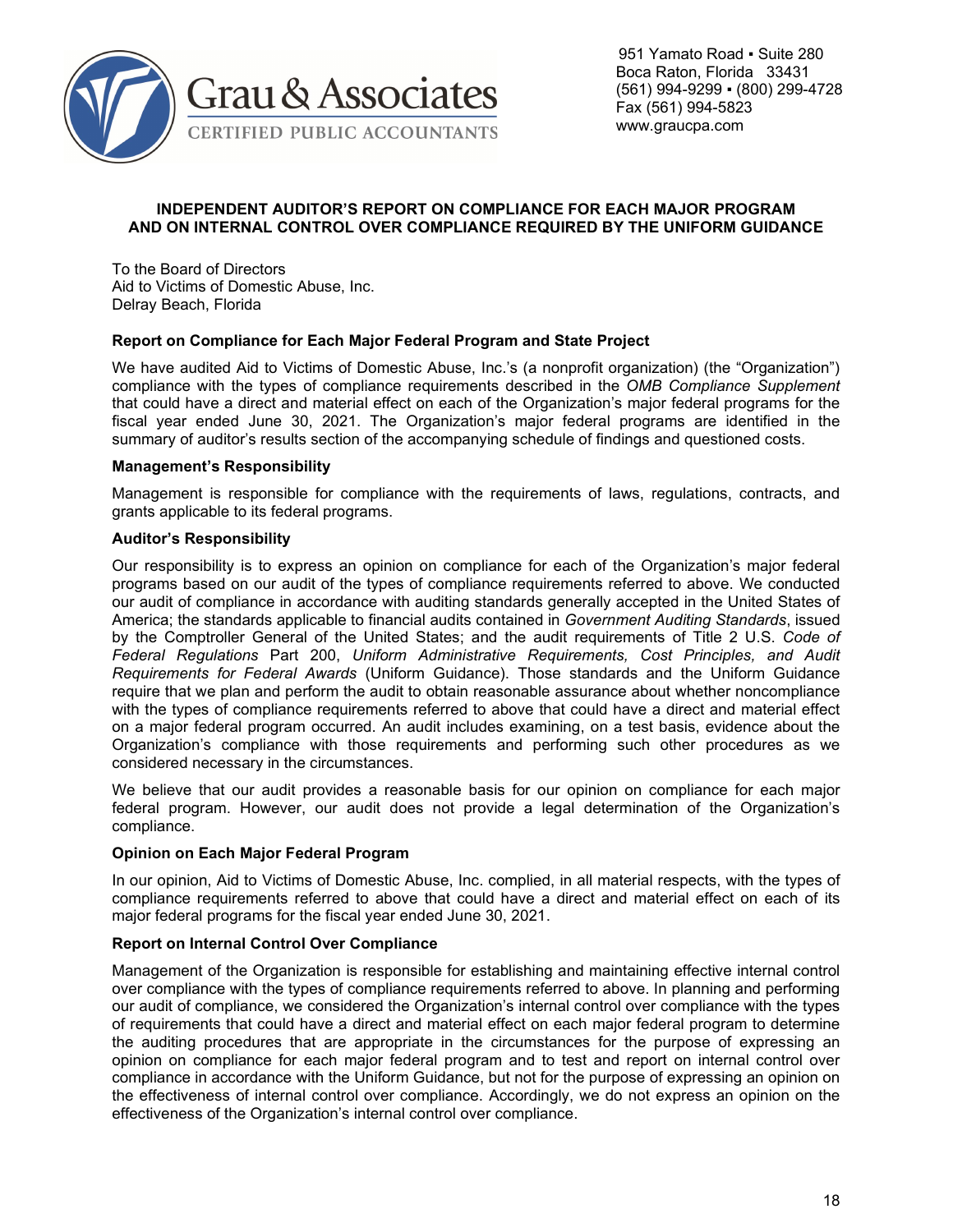

951 Yamato Road • Suite 280 Boca Raton, Florida 33431 (561) 994-9299 ▪ (800) 299-4728 Fax (561) 994-5823 www.graucpa.com

# **INDEPENDENT AUDITOR'S REPORT ON COMPLIANCE FOR EACH MAJOR PROGRAM AND ON INTERNAL CONTROL OVER COMPLIANCE REQUIRED BY THE UNIFORM GUIDANCE**

To the Board of Directors Aid to Victims of Domestic Abuse, Inc. Delray Beach, Florida

## **Report on Compliance for Each Major Federal Program and State Project**

We have audited Aid to Victims of Domestic Abuse, Inc.'s (a nonprofit organization) (the "Organization") compliance with the types of compliance requirements described in the *OMB Compliance Supplement*  that could have a direct and material effect on each of the Organization's major federal programs for the fiscal year ended June 30, 2021. The Organization's major federal programs are identified in the summary of auditor's results section of the accompanying schedule of findings and questioned costs.

### **Management's Responsibility**

Management is responsible for compliance with the requirements of laws, regulations, contracts, and grants applicable to its federal programs.

## **Auditor's Responsibility**

Our responsibility is to express an opinion on compliance for each of the Organization's major federal programs based on our audit of the types of compliance requirements referred to above. We conducted our audit of compliance in accordance with auditing standards generally accepted in the United States of America; the standards applicable to financial audits contained in *Government Auditing Standards*, issued by the Comptroller General of the United States; and the audit requirements of Title 2 U.S. *Code of Federal Regulations* Part 200, *Uniform Administrative Requirements, Cost Principles, and Audit Requirements for Federal Awards* (Uniform Guidance). Those standards and the Uniform Guidance require that we plan and perform the audit to obtain reasonable assurance about whether noncompliance with the types of compliance requirements referred to above that could have a direct and material effect on a major federal program occurred. An audit includes examining, on a test basis, evidence about the Organization's compliance with those requirements and performing such other procedures as we considered necessary in the circumstances.

We believe that our audit provides a reasonable basis for our opinion on compliance for each major federal program. However, our audit does not provide a legal determination of the Organization's compliance.

### **Opinion on Each Major Federal Program**

In our opinion, Aid to Victims of Domestic Abuse, Inc. complied, in all material respects, with the types of compliance requirements referred to above that could have a direct and material effect on each of its major federal programs for the fiscal year ended June 30, 2021.

### **Report on Internal Control Over Compliance**

Management of the Organization is responsible for establishing and maintaining effective internal control over compliance with the types of compliance requirements referred to above. In planning and performing our audit of compliance, we considered the Organization's internal control over compliance with the types of requirements that could have a direct and material effect on each major federal program to determine the auditing procedures that are appropriate in the circumstances for the purpose of expressing an opinion on compliance for each major federal program and to test and report on internal control over compliance in accordance with the Uniform Guidance, but not for the purpose of expressing an opinion on the effectiveness of internal control over compliance. Accordingly, we do not express an opinion on the effectiveness of the Organization's internal control over compliance.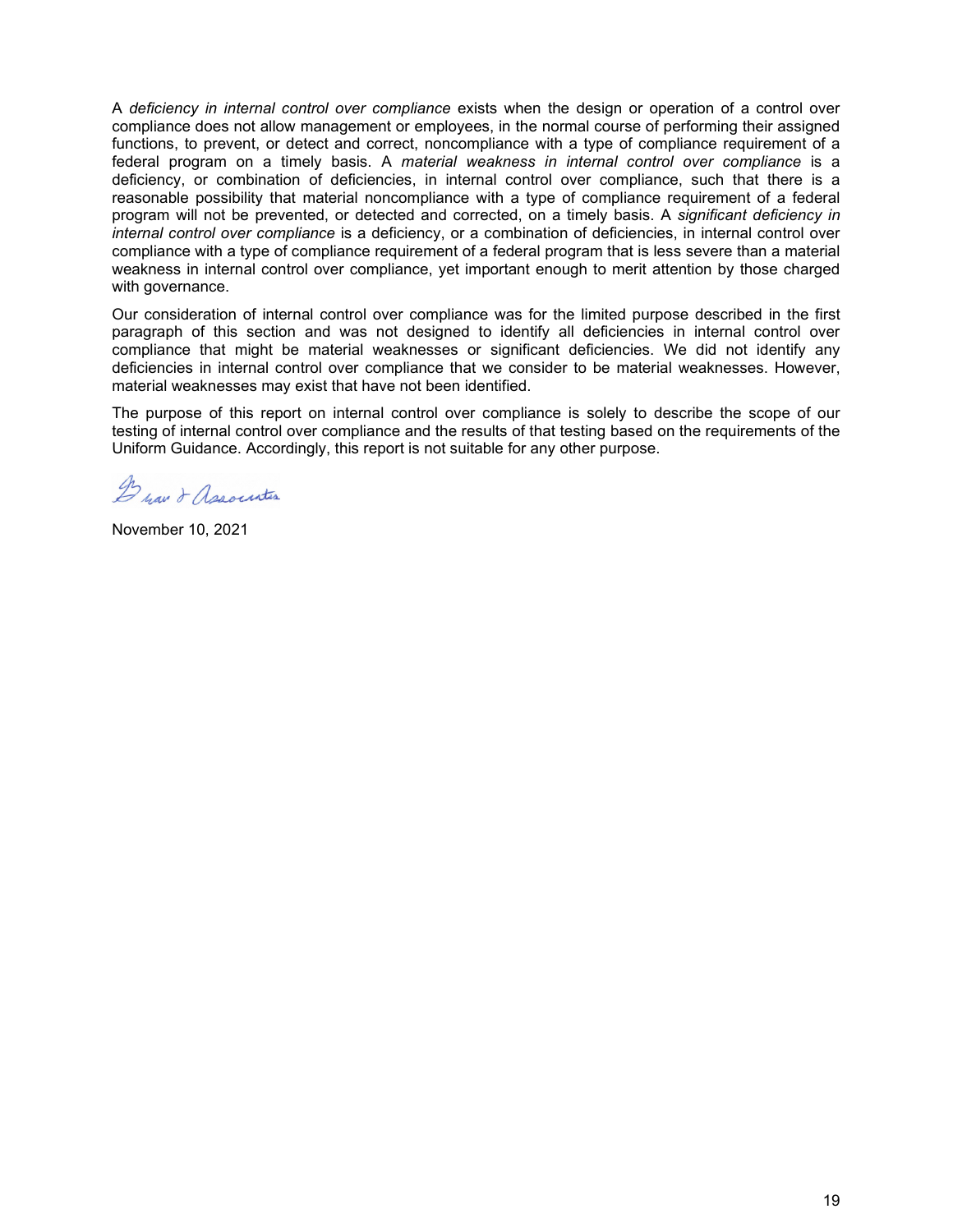A *deficiency in internal control over compliance* exists when the design or operation of a control over compliance does not allow management or employees, in the normal course of performing their assigned functions, to prevent, or detect and correct, noncompliance with a type of compliance requirement of a federal program on a timely basis. A *material weakness in internal control over compliance* is a deficiency, or combination of deficiencies, in internal control over compliance, such that there is a reasonable possibility that material noncompliance with a type of compliance requirement of a federal program will not be prevented, or detected and corrected, on a timely basis. A *significant deficiency in internal control over compliance* is a deficiency, or a combination of deficiencies, in internal control over compliance with a type of compliance requirement of a federal program that is less severe than a material weakness in internal control over compliance, yet important enough to merit attention by those charged with governance.

Our consideration of internal control over compliance was for the limited purpose described in the first paragraph of this section and was not designed to identify all deficiencies in internal control over compliance that might be material weaknesses or significant deficiencies. We did not identify any deficiencies in internal control over compliance that we consider to be material weaknesses. However, material weaknesses may exist that have not been identified.

The purpose of this report on internal control over compliance is solely to describe the scope of our testing of internal control over compliance and the results of that testing based on the requirements of the Uniform Guidance. Accordingly, this report is not suitable for any other purpose.

De yau & Association

November 10, 2021